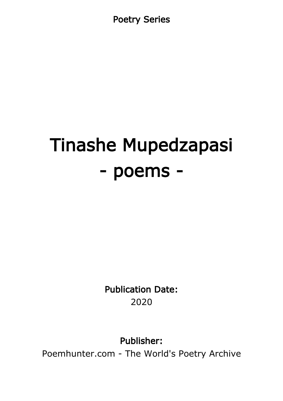Poetry Series

# Tinashe Mupedzapasi - poems -

Publication Date: 2020

Publisher:

Poemhunter.com - The World's Poetry Archive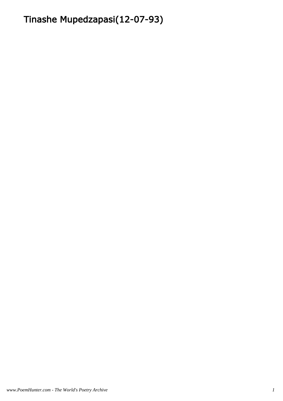# Tinashe Mupedzapasi(12-07-93)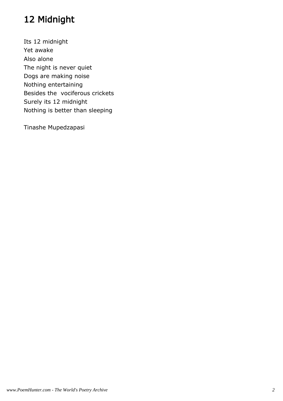# 12 Midnight

Its 12 midnight Yet awake Also alone The night is never quiet Dogs are making noise Nothing entertaining Besides the vociferous crickets Surely its 12 midnight Nothing is better than sleeping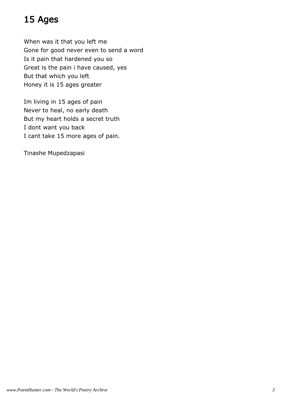# 15 Ages

When was it that you left me Gone for good never even to send a word Is it pain that hardened you so Great is the pain i have caused, yes But that which you left Honey it is 15 ages greater

Im living in 15 ages of pain Never to heal, no early death But my heart holds a secret truth I dont want you back I cant take 15 more ages of pain.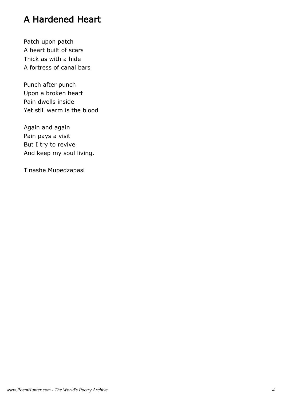# A Hardened Heart

Patch upon patch A heart built of scars Thick as with a hide A fortress of canal bars

Punch after punch Upon a broken heart Pain dwells inside Yet still warm is the blood

Again and again Pain pays a visit But I try to revive And keep my soul living.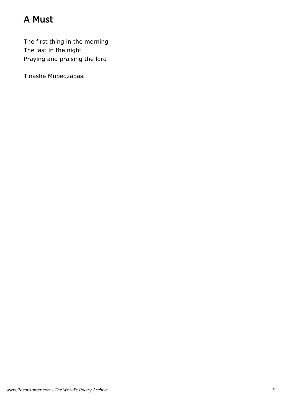# A Must

The first thing in the morning The last in the night Praying and praising the lord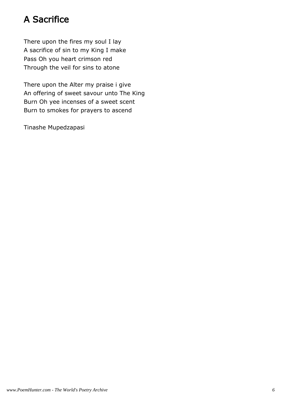# A Sacrifice

There upon the fires my soul I lay A sacrifice of sin to my King I make Pass Oh you heart crimson red Through the veil for sins to atone

There upon the Alter my praise i give An offering of sweet savour unto The King Burn Oh yee incenses of a sweet scent Burn to smokes for prayers to ascend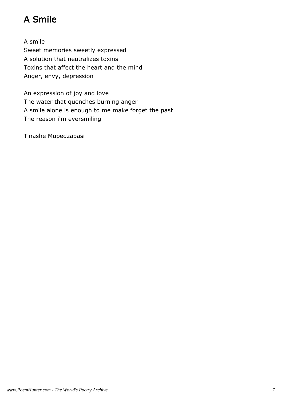# A Smile

A smile Sweet memories sweetly expressed A solution that neutralizes toxins Toxins that affect the heart and the mind Anger, envy, depression

An expression of joy and love The water that quenches burning anger A smile alone is enough to me make forget the past The reason i'm eversmiling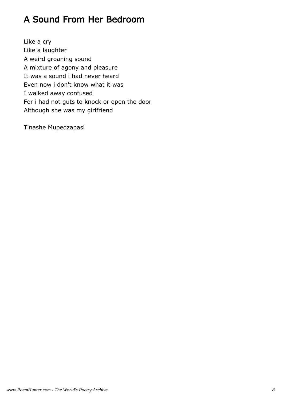# A Sound From Her Bedroom

Like a cry Like a laughter A weird groaning sound A mixture of agony and pleasure It was a sound i had never heard Even now i don't know what it was I walked away confused For i had not guts to knock or open the door Although she was my girlfriend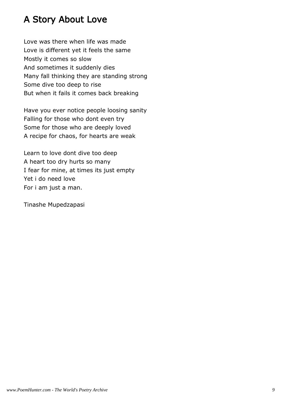# A Story About Love

Love was there when life was made Love is different yet it feels the same Mostly it comes so slow And sometimes it suddenly dies Many fall thinking they are standing strong Some dive too deep to rise But when it fails it comes back breaking

Have you ever notice people loosing sanity Falling for those who dont even try Some for those who are deeply loved A recipe for chaos, for hearts are weak

Learn to love dont dive too deep A heart too dry hurts so many I fear for mine, at times its just empty Yet i do need love For i am just a man.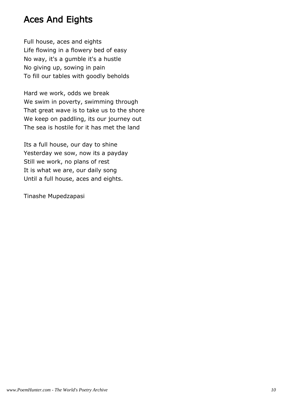### Aces And Eights

Full house, aces and eights Life flowing in a flowery bed of easy No way, it's a gumble it's a hustle No giving up, sowing in pain To fill our tables with goodly beholds

Hard we work, odds we break We swim in poverty, swimming through That great wave is to take us to the shore We keep on paddling, its our journey out The sea is hostile for it has met the land

Its a full house, our day to shine Yesterday we sow, now its a payday Still we work, no plans of rest It is what we are, our daily song Until a full house, aces and eights.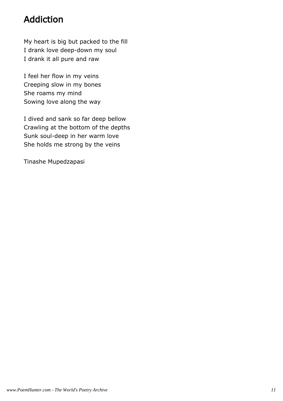# Addiction

My heart is big but packed to the fill I drank love deep-down my soul I drank it all pure and raw

I feel her flow in my veins Creeping slow in my bones She roams my mind Sowing love along the way

I dived and sank so far deep bellow Crawling at the bottom of the depths Sunk soul-deep in her warm love She holds me strong by the veins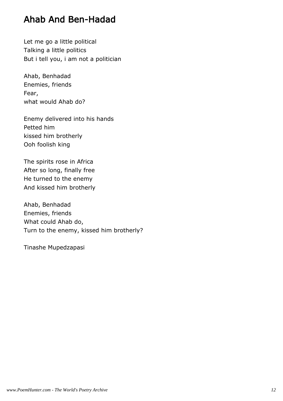#### Ahab And Ben-Hadad

Let me go a little political Talking a little politics But i tell you, i am not a politician

Ahab, Benhadad Enemies, friends Fear, what would Ahab do?

Enemy delivered into his hands Petted him kissed him brotherly Ooh foolish king

The spirits rose in Africa After so long, finally free He turned to the enemy And kissed him brotherly

Ahab, Benhadad Enemies, friends What could Ahab do, Turn to the enemy, kissed him brotherly?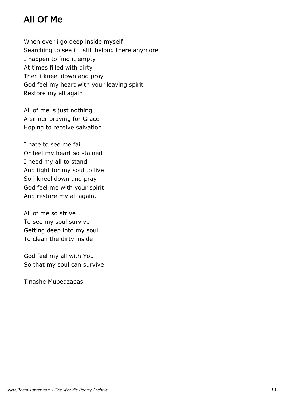# All Of Me

When ever i go deep inside myself Searching to see if i still belong there anymore I happen to find it empty At times filled with dirty Then i kneel down and pray God feel my heart with your leaving spirit Restore my all again

All of me is just nothing A sinner praying for Grace Hoping to receive salvation

I hate to see me fail Or feel my heart so stained I need my all to stand And fight for my soul to live So i kneel down and pray God feel me with your spirit And restore my all again.

All of me so strive To see my soul survive Getting deep into my soul To clean the dirty inside

God feel my all with You So that my soul can survive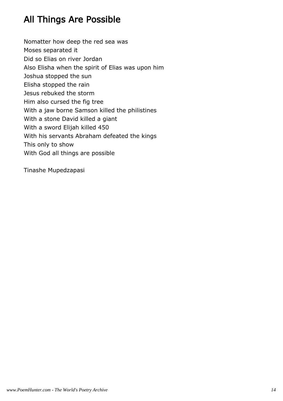# All Things Are Possible

Nomatter how deep the red sea was Moses separated it Did so Elias on river Jordan Also Elisha when the spirit of Elias was upon him Joshua stopped the sun Elisha stopped the rain Jesus rebuked the storm Him also cursed the fig tree With a jaw borne Samson killed the philistines With a stone David killed a giant With a sword Elijah killed 450 With his servants Abraham defeated the kings This only to show With God all things are possible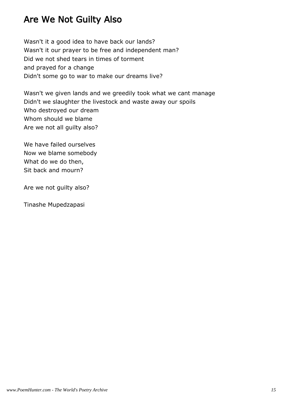## Are We Not Guilty Also

Wasn't it a good idea to have back our lands? Wasn't it our prayer to be free and independent man? Did we not shed tears in times of torment and prayed for a change Didn't some go to war to make our dreams live?

Wasn't we given lands and we greedily took what we cant manage Didn't we slaughter the livestock and waste away our spoils Who destroyed our dream Whom should we blame Are we not all guilty also?

We have failed ourselves Now we blame somebody What do we do then, Sit back and mourn?

Are we not guilty also?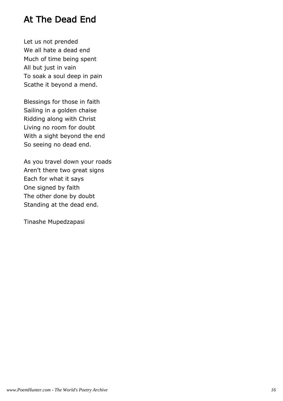### At The Dead End

Let us not prended We all hate a dead end Much of time being spent All but just in vain To soak a soul deep in pain Scathe it beyond a mend.

Blessings for those in faith Sailing in a golden chaise Ridding along with Christ Living no room for doubt With a sight beyond the end So seeing no dead end.

As you travel down your roads Aren't there two great signs Each for what it says One signed by faith The other done by doubt Standing at the dead end.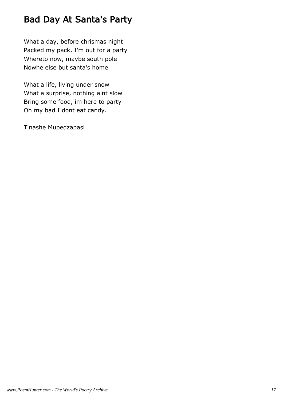# Bad Day At Santa's Party

What a day, before chrismas night Packed my pack, I'm out for a party Whereto now, maybe south pole Nowhe else but santa's home

What a life, living under snow What a surprise, nothing aint slow Bring some food, im here to party Oh my bad I dont eat candy.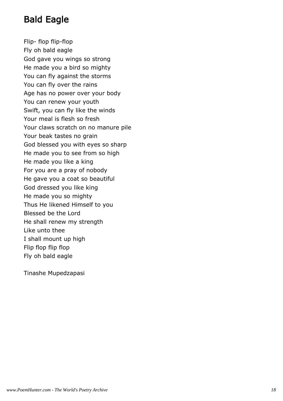# Bald Eagle

Flip- flop flip-flop Fly oh bald eagle God gave you wings so strong He made you a bird so mighty You can fly against the storms You can fly over the rains Age has no power over your body You can renew your youth Swift, you can fly like the winds Your meal is flesh so fresh Your claws scratch on no manure pile Your beak tastes no grain God blessed you with eyes so sharp He made you to see from so high He made you like a king For you are a pray of nobody He gave you a coat so beautiful God dressed you like king He made you so mighty Thus He likened Himself to you Blessed be the Lord He shall renew my strength Like unto thee I shall mount up high Flip flop flip flop Fly oh bald eagle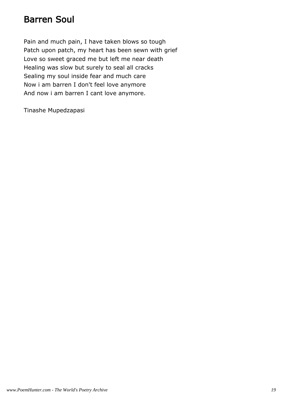#### Barren Soul

Pain and much pain, I have taken blows so tough Patch upon patch, my heart has been sewn with grief Love so sweet graced me but left me near death Healing was slow but surely to seal all cracks Sealing my soul inside fear and much care Now i am barren I don't feel love anymore And now i am barren I cant love anymore.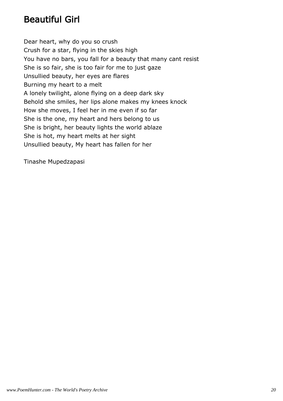# Beautiful Girl

Dear heart, why do you so crush Crush for a star, flying in the skies high You have no bars, you fall for a beauty that many cant resist She is so fair, she is too fair for me to just gaze Unsullied beauty, her eyes are flares Burning my heart to a melt A lonely twilight, alone flying on a deep dark sky Behold she smiles, her lips alone makes my knees knock How she moves, I feel her in me even if so far She is the one, my heart and hers belong to us She is bright, her beauty lights the world ablaze She is hot, my heart melts at her sight Unsullied beauty, My heart has fallen for her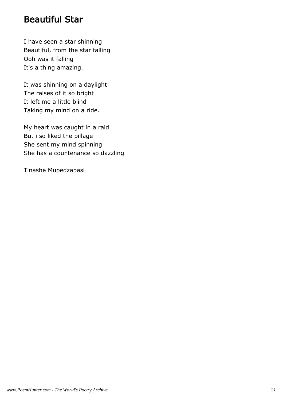#### Beautiful Star

I have seen a star shinning Beautiful, from the star falling Ooh was it falling It's a thing amazing.

It was shinning on a daylight The raises of it so bright It left me a little blind Taking my mind on a ride.

My heart was caught in a raid But i so liked the pillage She sent my mind spinning She has a countenance so dazzling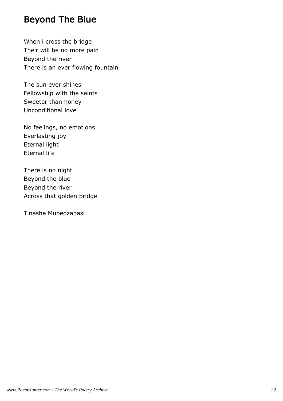## Beyond The Blue

When i cross the bridge Their will be no more pain Beyond the river There is an ever flowing fountain

The sun ever shines Fellowship with the saints Sweeter than honey Unconditional love

No feelings, no emotions Everlasting joy Eternal light Eternal life

There is no night Beyond the blue Beyond the river Across that golden bridge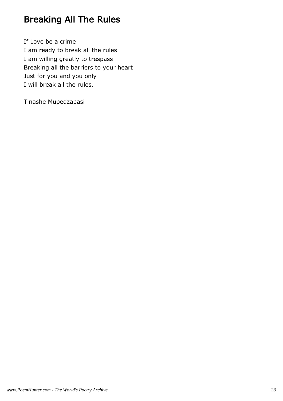# Breaking All The Rules

If Love be a crime I am ready to break all the rules I am willing greatly to trespass Breaking all the barriers to your heart Just for you and you only I will break all the rules.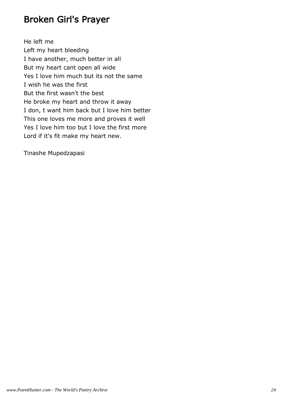#### Broken Girl's Prayer

He left me Left my heart bleeding I have another, much better in all But my heart cant open all wide Yes I love him much but its not the same I wish he was the first But the first wasn't the best He broke my heart and throw it away I don, t want him back but I love him better This one loves me more and proves it well Yes I love him too but I love the first more Lord if it's fit make my heart new.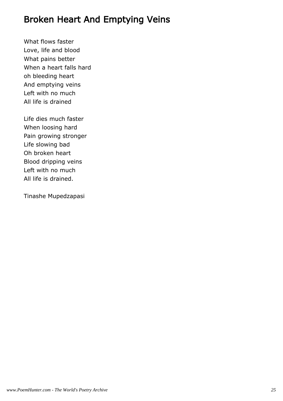### Broken Heart And Emptying Veins

What flows faster Love, life and blood What pains better When a heart falls hard oh bleeding heart And emptying veins Left with no much All life is drained

Life dies much faster When loosing hard Pain growing stronger Life slowing bad Oh broken heart Blood dripping veins Left with no much All life is drained.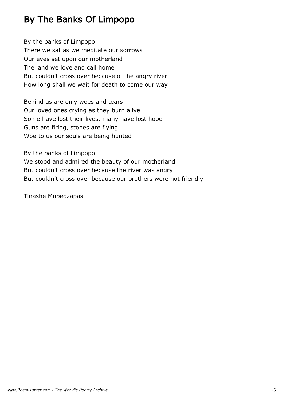# By The Banks Of Limpopo

By the banks of Limpopo There we sat as we meditate our sorrows Our eyes set upon our motherland The land we love and call home But couldn't cross over because of the angry river How long shall we wait for death to come our way

Behind us are only woes and tears Our loved ones crying as they burn alive Some have lost their lives, many have lost hope Guns are firing, stones are flying Woe to us our souls are being hunted

By the banks of Limpopo We stood and admired the beauty of our motherland But couldn't cross over because the river was angry But couldn't cross over because our brothers were not friendly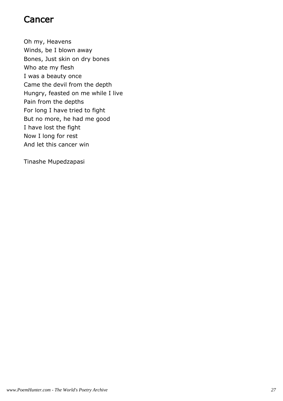#### Cancer

Oh my, Heavens Winds, be I blown away Bones, Just skin on dry bones Who ate my flesh I was a beauty once Came the devil from the depth Hungry, feasted on me while I live Pain from the depths For long I have tried to fight But no more, he had me good I have lost the fight Now I long for rest And let this cancer win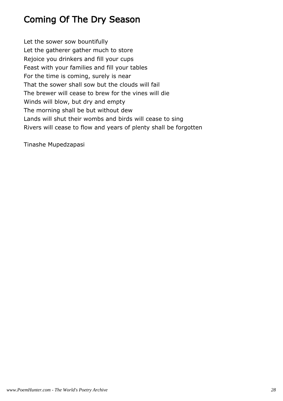# Coming Of The Dry Season

Let the sower sow bountifully Let the gatherer gather much to store Rejoice you drinkers and fill your cups Feast with your families and fill your tables For the time is coming, surely is near That the sower shall sow but the clouds will fail The brewer will cease to brew for the vines will die Winds will blow, but dry and empty The morning shall be but without dew Lands will shut their wombs and birds will cease to sing Rivers will cease to flow and years of plenty shall be forgotten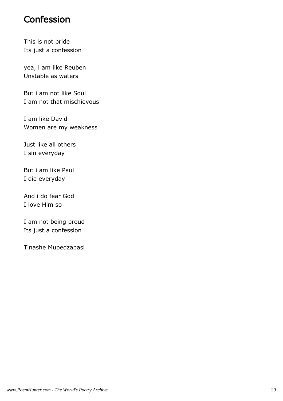#### Confession

This is not pride Its just a confession

yea, i am like Reuben Unstable as waters

But i am not like Soul I am not that mischievous

I am like David Women are my weakness

Just like all others I sin everyday

But i am like Paul I die everyday

And i do fear God I love Him so

I am not being proud Its just a confession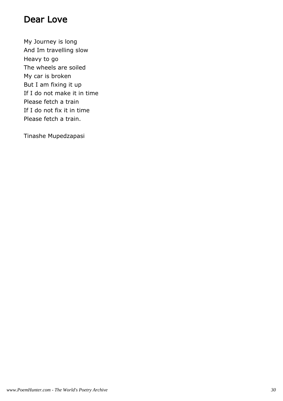#### Dear Love

My Journey is long And Im travelling slow Heavy to go The wheels are soiled My car is broken But I am fixing it up If I do not make it in time Please fetch a train If I do not fix it in time Please fetch a train.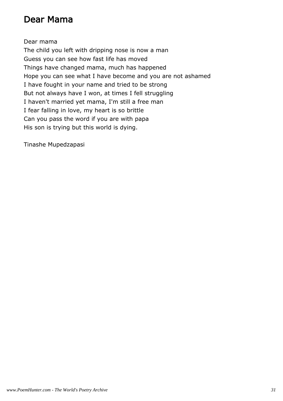#### Dear Mama

Dear mama

The child you left with dripping nose is now a man Guess you can see how fast life has moved Things have changed mama, much has happened Hope you can see what I have become and you are not ashamed I have fought in your name and tried to be strong But not always have I won, at times I fell struggling I haven't married yet mama, I'm still a free man I fear falling in love, my heart is so brittle Can you pass the word if you are with papa His son is trying but this world is dying.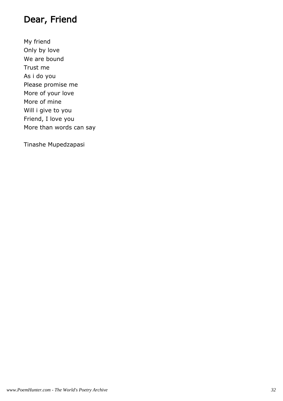# Dear, Friend

My friend Only by love We are bound Trust me As i do you Please promise me More of your love More of mine Will i give to you Friend, I love you More than words can say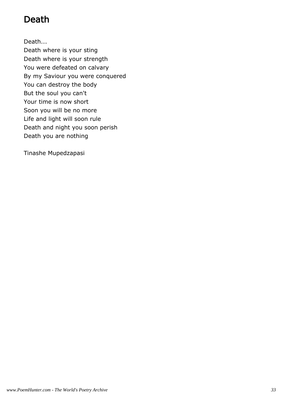# Death

Death...

Death where is your sting Death where is your strength You were defeated on calvary By my Saviour you were conquered You can destroy the body But the soul you can't Your time is now short Soon you will be no more Life and light will soon rule Death and night you soon perish Death you are nothing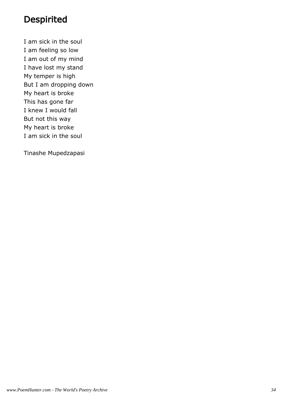#### **Despirited**

I am sick in the soul I am feeling so low I am out of my mind I have lost my stand My temper is high But I am dropping down My heart is broke This has gone far I knew I would fall But not this way My heart is broke I am sick in the soul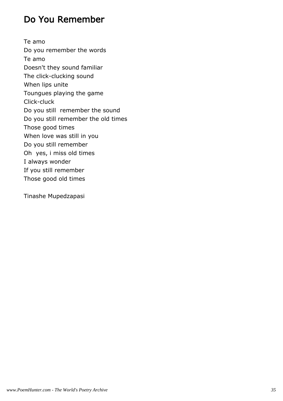## Do You Remember

Te amo Do you remember the words Te amo Doesn't they sound familiar The click-clucking sound When lips unite Toungues playing the game Click-cluck Do you still remember the sound Do you still remember the old times Those good times When love was still in you Do you still remember Oh yes, i miss old times I always wonder If you still remember Those good old times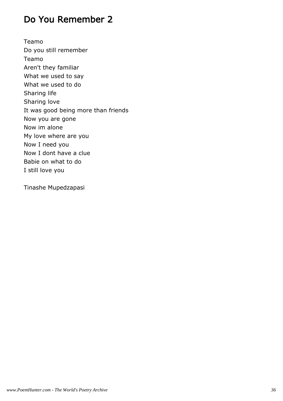### Do You Remember 2

Teamo Do you still remember Teamo Aren't they familiar What we used to say What we used to do Sharing life Sharing love It was good being more than friends Now you are gone Now im alone My love where are you Now I need you Now I dont have a clue Babie on what to do I still love you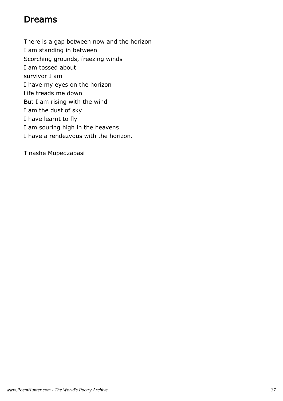### Dreams

There is a gap between now and the horizon I am standing in between Scorching grounds, freezing winds I am tossed about survivor I am I have my eyes on the horizon Life treads me down But I am rising with the wind I am the dust of sky I have learnt to fly I am souring high in the heavens I have a rendezvous with the horizon.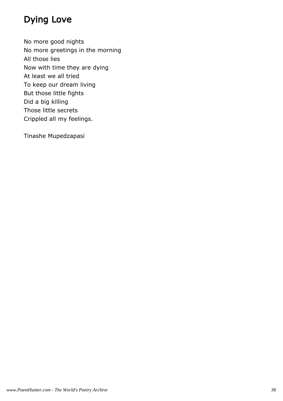# Dying Love

No more good nights No more greetings in the morning All those lies Now with time they are dying At least we all tried To keep our dream living But those little fights Did a big killing Those little secrets Crippled all my feelings.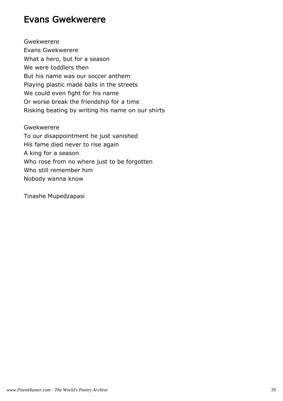#### Evans Gwekwerere

Gwekwerere Evans Gwekwerere What a hero, but for a season We were toddlers then But his name was our soccer anthem Playing plastic made balls in the streets We could even fight for his name Or worse break the friendship for a time Risking beating by writing his name on our shirts

Gwekwerere To our disappointment he just vanished His fame died never to rise again A king for a season Who rose from no where just to be forgotten Who still remember him Nobody wanna know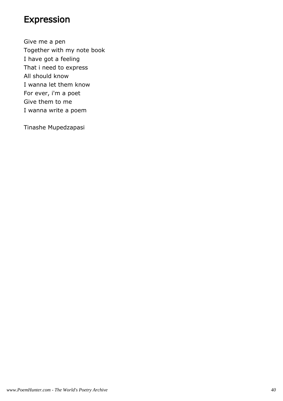#### Expression

Give me a pen Together with my note book I have got a feeling That i need to express All should know I wanna let them know For ever, i'm a poet Give them to me I wanna write a poem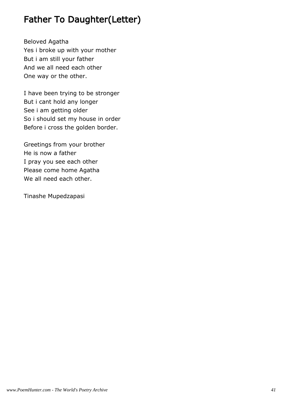### Father To Daughter(Letter)

Beloved Agatha Yes i broke up with your mother But i am still your father And we all need each other One way or the other.

I have been trying to be stronger But i cant hold any longer See i am getting older So i should set my house in order Before i cross the golden border.

Greetings from your brother He is now a father I pray you see each other Please come home Agatha We all need each other.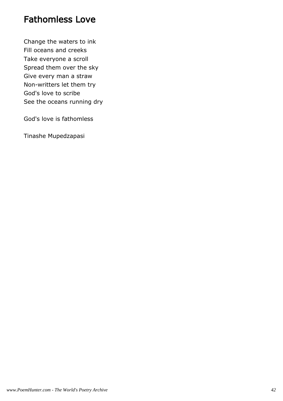#### Fathomless Love

Change the waters to ink Fill oceans and creeks Take everyone a scroll Spread them over the sky Give every man a straw Non-writters let them try God's love to scribe See the oceans running dry

God's love is fathomless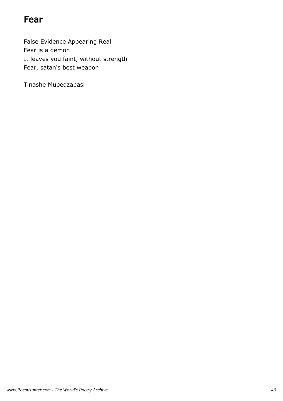#### Fear

False Evidence Appearing Real Fear is a demon It leaves you faint, without strength Fear, satan's best weapon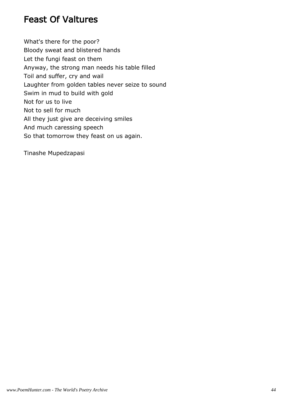### Feast Of Valtures

What's there for the poor? Bloody sweat and blistered hands Let the fungi feast on them Anyway, the strong man needs his table filled Toil and suffer, cry and wail Laughter from golden tables never seize to sound Swim in mud to build with gold Not for us to live Not to sell for much All they just give are deceiving smiles And much caressing speech So that tomorrow they feast on us again.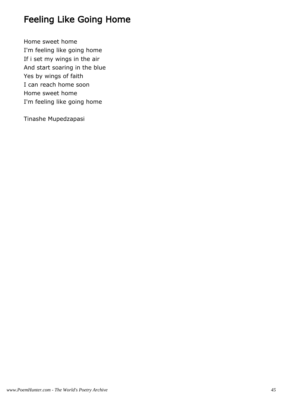## Feeling Like Going Home

Home sweet home I'm feeling like going home If i set my wings in the air And start soaring in the blue Yes by wings of faith I can reach home soon Home sweet home I'm feeling like going home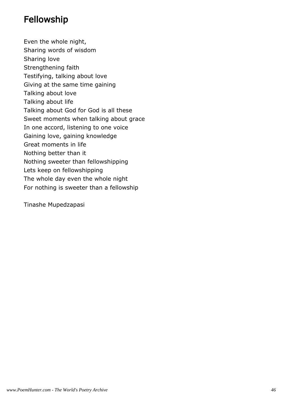### Fellowship

Even the whole night, Sharing words of wisdom Sharing love Strengthening faith Testifying, talking about love Giving at the same time gaining Talking about love Talking about life Talking about God for God is all these Sweet moments when talking about grace In one accord, listening to one voice Gaining love, gaining knowledge Great moments in life Nothing better than it Nothing sweeter than fellowshipping Lets keep on fellowshipping The whole day even the whole night For nothing is sweeter than a fellowship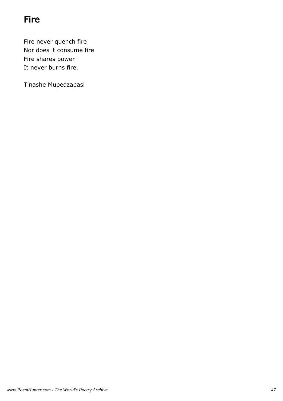# Fire

Fire never quench fire Nor does it consume fire Fire shares power It never burns fire.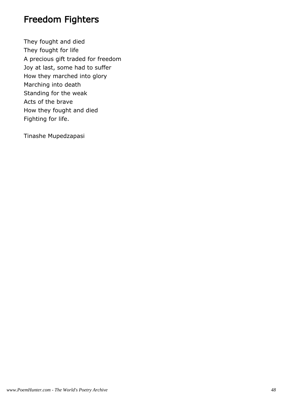#### Freedom Fighters

They fought and died They fought for life A precious gift traded for freedom Joy at last, some had to suffer How they marched into glory Marching into death Standing for the weak Acts of the brave How they fought and died Fighting for life.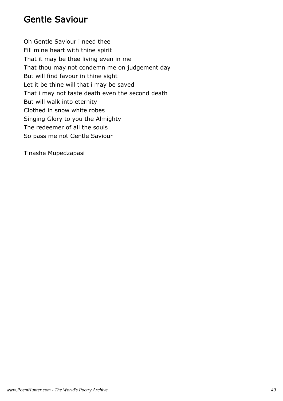#### Gentle Saviour

Oh Gentle Saviour i need thee Fill mine heart with thine spirit That it may be thee living even in me That thou may not condemn me on judgement day But will find favour in thine sight Let it be thine will that i may be saved That i may not taste death even the second death But will walk into eternity Clothed in snow white robes Singing Glory to you the Almighty The redeemer of all the souls So pass me not Gentle Saviour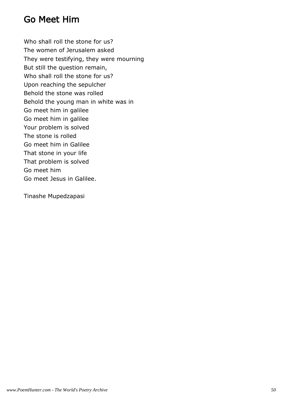#### Go Meet Him

Who shall roll the stone for us? The women of Jerusalem asked They were testifying, they were mourning But still the question remain, Who shall roll the stone for us? Upon reaching the sepulcher Behold the stone was rolled Behold the young man in white was in Go meet him in galilee Go meet him in galilee Your problem is solved The stone is rolled Go meet him in Galilee That stone in your life That problem is solved Go meet him Go meet Jesus in Galilee.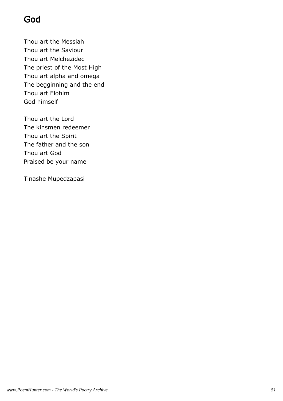# God

Thou art the Messiah Thou art the Saviour Thou art Melchezidec The priest of the Most High Thou art alpha and omega The begginning and the end Thou art Elohim God himself

Thou art the Lord The kinsmen redeemer Thou art the Spirit The father and the son Thou art God Praised be your name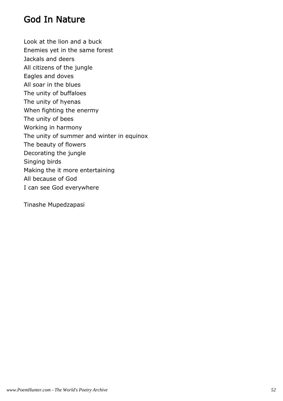#### God In Nature

Look at the lion and a buck Enemies yet in the same forest Jackals and deers All citizens of the jungle Eagles and doves All soar in the blues The unity of buffaloes The unity of hyenas When fighting the enermy The unity of bees Working in harmony The unity of summer and winter in equinox The beauty of flowers Decorating the jungle Singing birds Making the it more entertaining All because of God I can see God everywhere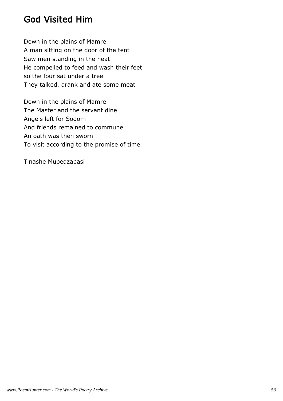### God Visited Him

Down in the plains of Mamre A man sitting on the door of the tent Saw men standing in the heat He compelled to feed and wash their feet so the four sat under a tree They talked, drank and ate some meat

Down in the plains of Mamre The Master and the servant dine Angels left for Sodom And friends remained to commune An oath was then sworn To visit according to the promise of time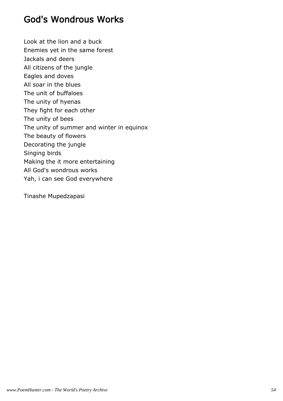### God's Wondrous Works

Look at the lion and a buck Enemies yet in the same forest Jackals and deers All citizens of the jungle Eagles and doves All soar in the blues The unit of buffaloes The unity of hyenas They fight for each other The unity of bees The unity of summer and winter in equinox The beauty of flowers Decorating the jungle Singing birds Making the it more entertaining All God's wondrous works Yah, i can see God everywhere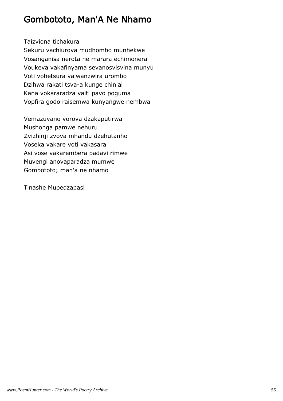### Gombototo, Man'A Ne Nhamo

Taizviona tichakura

Sekuru vachiurova mudhombo munhekwe Vosanganisa nerota ne marara echimonera Voukeva vakafinyama sevanosvisvina munyu Voti vohetsura vaiwanzwira urombo Dzihwa rakati tsva-a kunge chin'ai Kana vokararadza vaiti pavo poguma Vopfira godo raisemwa kunyangwe nembwa

Vemazuvano vorova dzakaputirwa Mushonga pamwe nehuru Zvizhinji zvova mhandu dzehutanho Voseka vakare voti vakasara Asi vose vakarembera padavi rimwe Muvengi anovaparadza mumwe Gombototo; man'a ne nhamo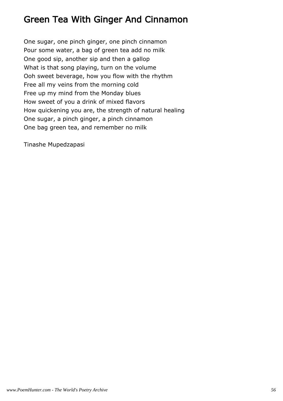### Green Tea With Ginger And Cinnamon

One sugar, one pinch ginger, one pinch cinnamon Pour some water, a bag of green tea add no milk One good sip, another sip and then a gallop What is that song playing, turn on the volume Ooh sweet beverage, how you flow with the rhythm Free all my veins from the morning cold Free up my mind from the Monday blues How sweet of you a drink of mixed flavors How quickening you are, the strength of natural healing One sugar, a pinch ginger, a pinch cinnamon One bag green tea, and remember no milk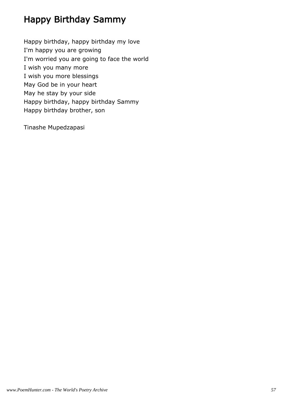# Happy Birthday Sammy

Happy birthday, happy birthday my love I'm happy you are growing I'm worried you are going to face the world I wish you many more I wish you more blessings May God be in your heart May he stay by your side Happy birthday, happy birthday Sammy Happy birthday brother, son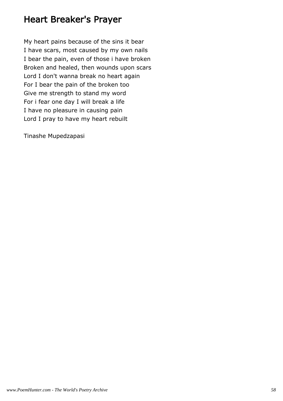#### Heart Breaker's Prayer

My heart pains because of the sins it bear I have scars, most caused by my own nails I bear the pain, even of those i have broken Broken and healed, then wounds upon scars Lord I don't wanna break no heart again For I bear the pain of the broken too Give me strength to stand my word For i fear one day I will break a life I have no pleasure in causing pain Lord I pray to have my heart rebuilt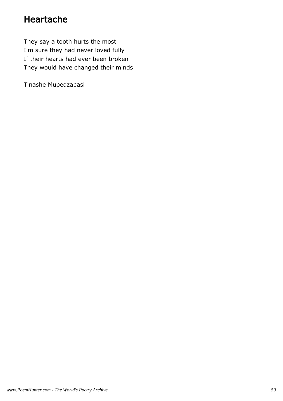### Heartache

They say a tooth hurts the most I'm sure they had never loved fully If their hearts had ever been broken They would have changed their minds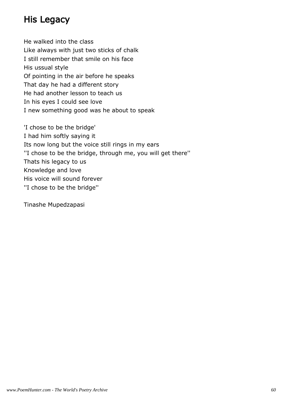### His Legacy

He walked into the class Like always with just two sticks of chalk I still remember that smile on his face His ussual style Of pointing in the air before he speaks That day he had a different story He had another lesson to teach us In his eyes I could see love I new something good was he about to speak

'I chose to be the bridge' I had him softly saying it Its now long but the voice still rings in my ears ''I chose to be the bridge, through me, you will get there'' Thats his legacy to us Knowledge and love His voice will sound forever ''I chose to be the bridge''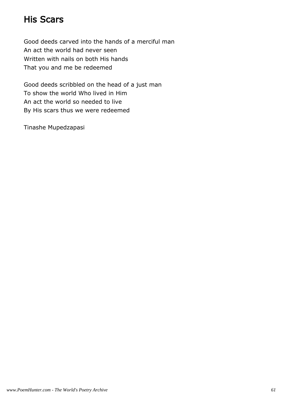### His Scars

Good deeds carved into the hands of a merciful man An act the world had never seen Written with nails on both His hands That you and me be redeemed

Good deeds scribbled on the head of a just man To show the world Who lived in Him An act the world so needed to live By His scars thus we were redeemed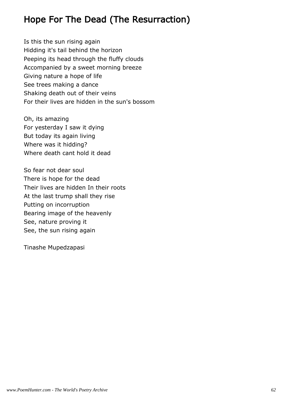## Hope For The Dead (The Resurraction)

Is this the sun rising again Hidding it's tail behind the horizon Peeping its head through the fluffy clouds Accompanied by a sweet morning breeze Giving nature a hope of life See trees making a dance Shaking death out of their veins For their lives are hidden in the sun's bossom

Oh, its amazing For yesterday I saw it dying But today its again living Where was it hidding? Where death cant hold it dead

So fear not dear soul There is hope for the dead Their lives are hidden In their roots At the last trump shall they rise Putting on incorruption Bearing image of the heavenly See, nature proving it See, the sun rising again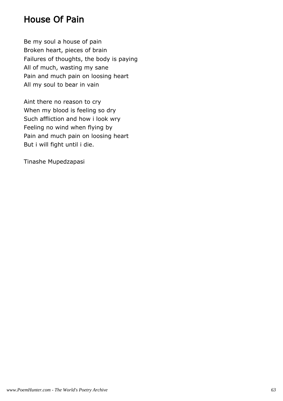### House Of Pain

Be my soul a house of pain Broken heart, pieces of brain Failures of thoughts, the body is paying All of much, wasting my sane Pain and much pain on loosing heart All my soul to bear in vain

Aint there no reason to cry When my blood is feeling so dry Such affliction and how i look wry Feeling no wind when flying by Pain and much pain on loosing heart But i will fight until i die.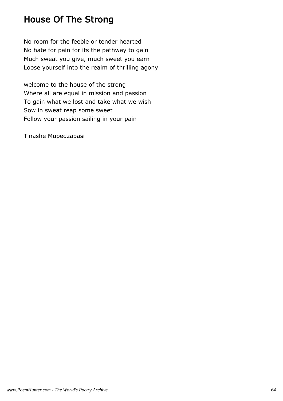### House Of The Strong

No room for the feeble or tender hearted No hate for pain for its the pathway to gain Much sweat you give, much sweet you earn Loose yourself into the realm of thrilling agony

welcome to the house of the strong Where all are equal in mission and passion To gain what we lost and take what we wish Sow in sweat reap some sweet Follow your passion sailing in your pain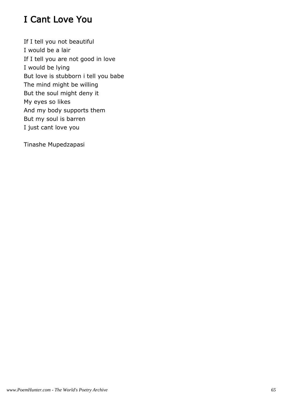# I Cant Love You

If I tell you not beautiful I would be a lair If I tell you are not good in love I would be lying But love is stubborn i tell you babe The mind might be willing But the soul might deny it My eyes so likes And my body supports them But my soul is barren I just cant love you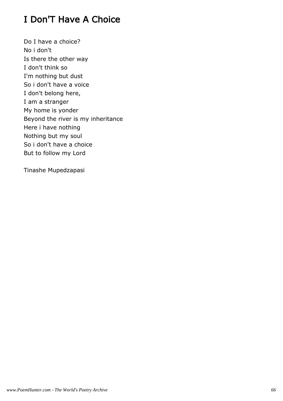## I Don'T Have A Choice

Do I have a choice? No i don't Is there the other way I don't think so I'm nothing but dust So i don't have a voice I don't belong here, I am a stranger My home is yonder Beyond the river is my inheritance Here i have nothing Nothing but my soul So i don't have a choice But to follow my Lord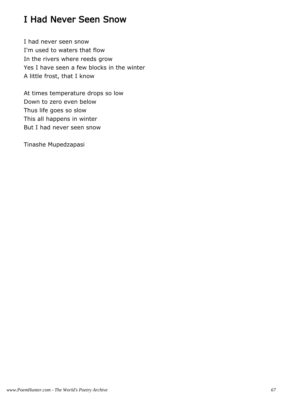### I Had Never Seen Snow

I had never seen snow I'm used to waters that flow In the rivers where reeds grow Yes I have seen a few blocks in the winter A little frost, that I know

At times temperature drops so low Down to zero even below Thus life goes so slow This all happens in winter But I had never seen snow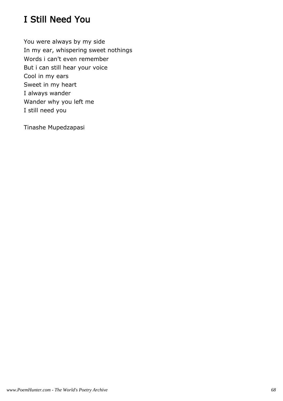## I Still Need You

You were always by my side In my ear, whispering sweet nothings Words i can't even remember But i can still hear your voice Cool in my ears Sweet in my heart I always wander Wander why you left me I still need you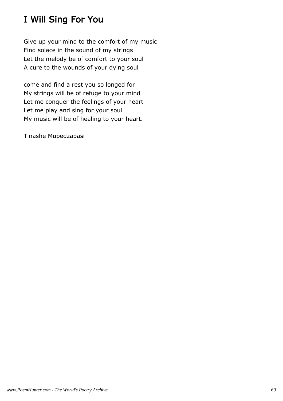# I Will Sing For You

Give up your mind to the comfort of my music Find solace in the sound of my strings Let the melody be of comfort to your soul A cure to the wounds of your dying soul

come and find a rest you so longed for My strings will be of refuge to your mind Let me conquer the feelings of your heart Let me play and sing for your soul My music will be of healing to your heart.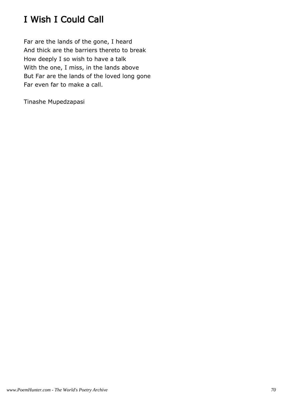# I Wish I Could Call

Far are the lands of the gone, I heard And thick are the barriers thereto to break How deeply I so wish to have a talk With the one, I miss, in the lands above But Far are the lands of the loved long gone Far even far to make a call.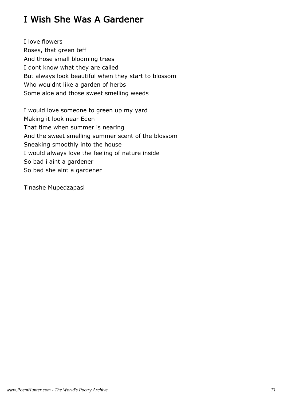### I Wish She Was A Gardener

I love flowers Roses, that green teff And those small blooming trees I dont know what they are called But always look beautiful when they start to blossom Who wouldnt like a garden of herbs Some aloe and those sweet smelling weeds

I would love someone to green up my yard Making it look near Eden That time when summer is nearing And the sweet smelling summer scent of the blossom Sneaking smoothly into the house I would always love the feeling of nature inside So bad i aint a gardener So bad she aint a gardener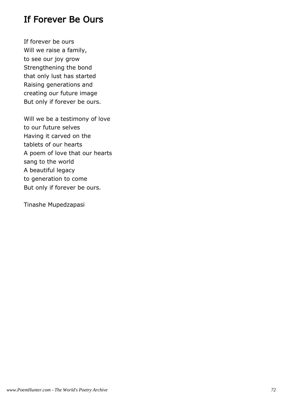## If Forever Be Ours

If forever be ours Will we raise a family, to see our joy grow Strengthening the bond that only lust has started Raising generations and creating our future image But only if forever be ours.

Will we be a testimony of love to our future selves Having it carved on the tablets of our hearts A poem of love that our hearts sang to the world A beautiful legacy to generation to come But only if forever be ours.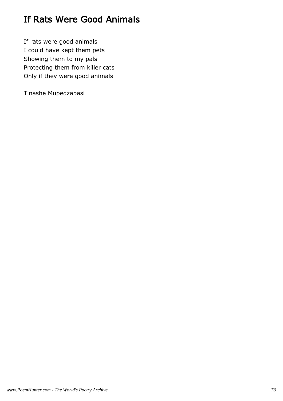# If Rats Were Good Animals

If rats were good animals I could have kept them pets Showing them to my pals Protecting them from killer cats Only if they were good animals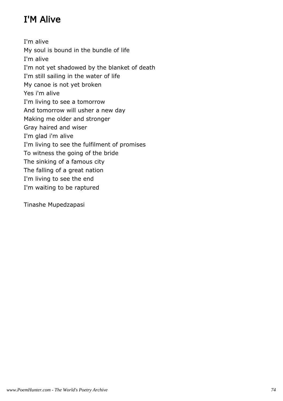# I'M Alive

I'm alive My soul is bound in the bundle of life I'm alive I'm not yet shadowed by the blanket of death I'm still sailing in the water of life My canoe is not yet broken Yes i'm alive I'm living to see a tomorrow And tomorrow will usher a new day Making me older and stronger Gray haired and wiser I'm glad i'm alive I'm living to see the fulfilment of promises To witness the going of the bride The sinking of a famous city The falling of a great nation I'm living to see the end I'm waiting to be raptured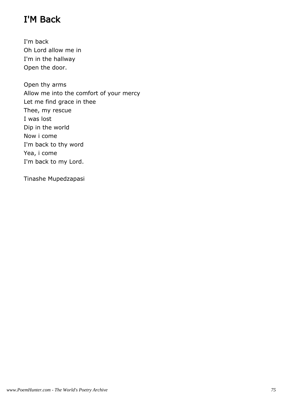# I'M Back

I'm back Oh Lord allow me in I'm in the hallway Open the door.

Open thy arms Allow me into the comfort of your mercy Let me find grace in thee Thee, my rescue I was lost Dip in the world Now i come I'm back to thy word Yea, i come I'm back to my Lord.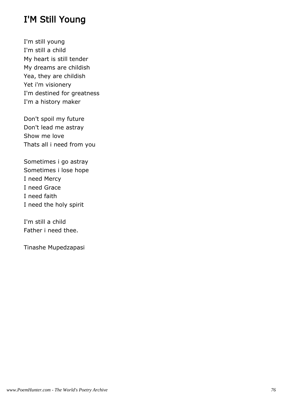#### I'M Still Young

I'm still young I'm still a child My heart is still tender My dreams are childish Yea, they are childish Yet i'm visionery I'm destined for greatness I'm a history maker

Don't spoil my future Don't lead me astray Show me love Thats all i need from you

Sometimes i go astray Sometimes i lose hope I need Mercy I need Grace I need faith I need the holy spirit

I'm still a child Father i need thee.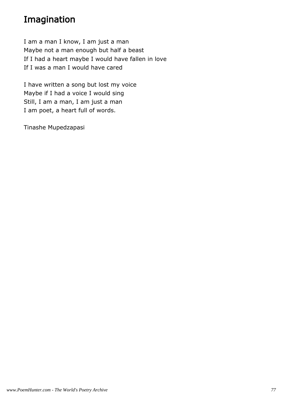## Imagination

I am a man I know, I am just a man Maybe not a man enough but half a beast If I had a heart maybe I would have fallen in love If I was a man I would have cared

I have written a song but lost my voice Maybe if I had a voice I would sing Still, I am a man, I am just a man I am poet, a heart full of words.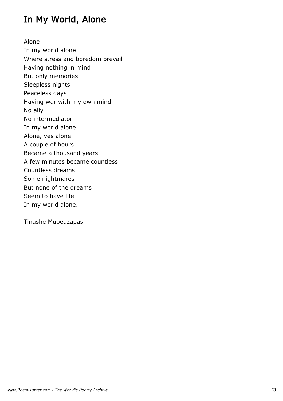## In My World, Alone

Alone In my world alone Where stress and boredom prevail Having nothing in mind But only memories Sleepless nights Peaceless days Having war with my own mind No ally No intermediator In my world alone Alone, yes alone A couple of hours Became a thousand years A few minutes became countless Countless dreams Some nightmares But none of the dreams Seem to have life In my world alone.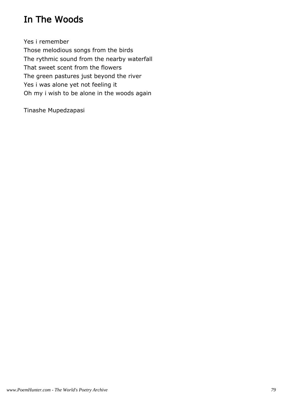## In The Woods

Yes i remember Those melodious songs from the birds The rythmic sound from the nearby waterfall That sweet scent from the flowers The green pastures just beyond the river Yes i was alone yet not feeling it Oh my i wish to be alone in the woods again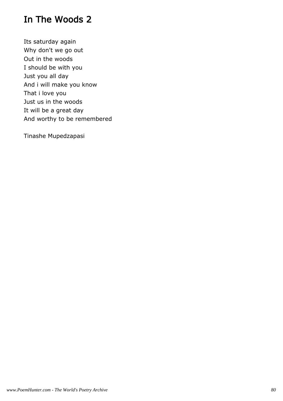#### In The Woods 2

Its saturday again Why don't we go out Out in the woods I should be with you Just you all day And i will make you know That i love you Just us in the woods It will be a great day And worthy to be remembered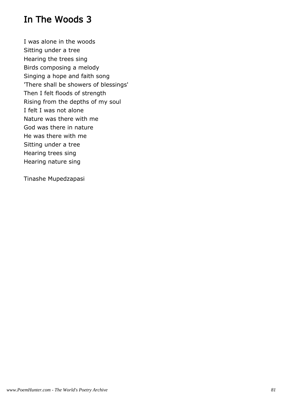#### In The Woods 3

I was alone in the woods Sitting under a tree Hearing the trees sing Birds composing a melody Singing a hope and faith song 'There shall be showers of blessings' Then I felt floods of strength Rising from the depths of my soul I felt I was not alone Nature was there with me God was there in nature He was there with me Sitting under a tree Hearing trees sing Hearing nature sing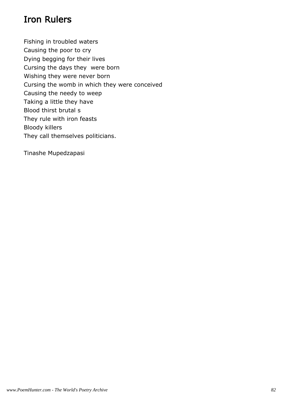## Iron Rulers

Fishing in troubled waters Causing the poor to cry Dying begging for their lives Cursing the days they were born Wishing they were never born Cursing the womb in which they were conceived Causing the needy to weep Taking a little they have Blood thirst brutal s They rule with iron feasts Bloody killers They call themselves politicians.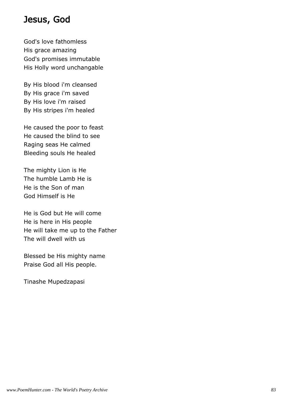#### Jesus, God

God's love fathomless His grace amazing God's promises immutable His Holly word unchangable

By His blood i'm cleansed By His grace i'm saved By His love i'm raised By His stripes i'm healed

He caused the poor to feast He caused the blind to see Raging seas He calmed Bleeding souls He healed

The mighty Lion is He The humble Lamb He is He is the Son of man God Himself is He

He is God but He will come He is here in His people He will take me up to the Father The will dwell with us

Blessed be His mighty name Praise God all His people.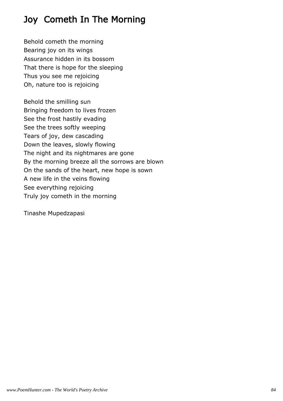# Joy Cometh In The Morning

Behold cometh the morning Bearing joy on its wings Assurance hidden in its bossom That there is hope for the sleeping Thus you see me rejoicing Oh, nature too is rejoicing

Behold the smilling sun Bringing freedom to lives frozen See the frost hastily evading See the trees softly weeping Tears of joy, dew cascading Down the leaves, slowly flowing The night and its nightmares are gone By the morning breeze all the sorrows are blown On the sands of the heart, new hope is sown A new life in the veins flowing See everything rejoicing Truly joy cometh in the morning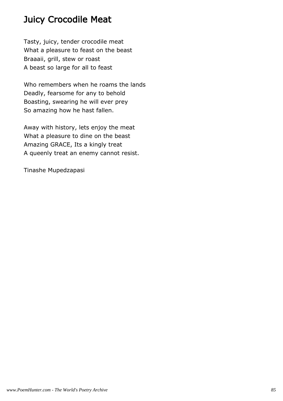## Juicy Crocodile Meat

Tasty, juicy, tender crocodile meat What a pleasure to feast on the beast Braaaii, grill, stew or roast A beast so large for all to feast

Who remembers when he roams the lands Deadly, fearsome for any to behold Boasting, swearing he will ever prey So amazing how he hast fallen.

Away with history, lets enjoy the meat What a pleasure to dine on the beast Amazing GRACE, Its a kingly treat A queenly treat an enemy cannot resist.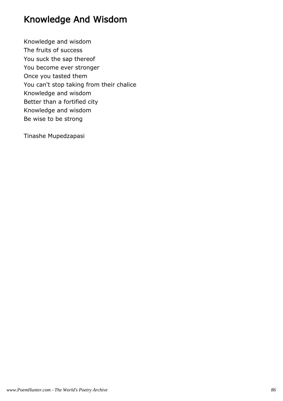## Knowledge And Wisdom

Knowledge and wisdom The fruits of success You suck the sap thereof You become ever stronger Once you tasted them You can't stop taking from their chalice Knowledge and wisdom Better than a fortified city Knowledge and wisdom Be wise to be strong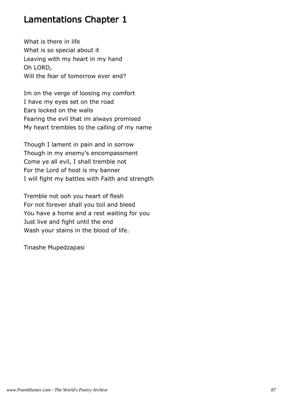#### Lamentations Chapter 1

What is there in life What is so special about it Leaving with my heart in my hand Oh LORD, Will the fear of tomorrow ever end?

Im on the verge of loosing my comfort I have my eyes set on the road Ears locked on the walls Fearing the evil that im always promised My heart trembles to the calling of my name

Though I lament in pain and in sorrow Though in my enemy's encompassment Come ye all evil, I shall tremble not For the Lord of host is my banner I will fight my battles with Faith and strength

Tremble not ooh you heart of flesh For not forever shall you toil and bleed You have a home and a rest waiting for you Just live and fight until the end Wash your stains in the blood of life.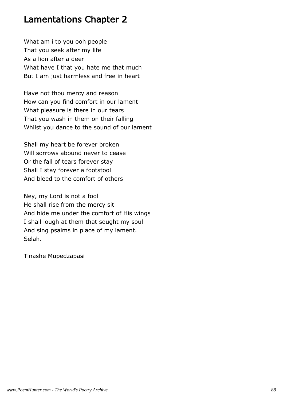#### Lamentations Chapter 2

What am i to you ooh people That you seek after my life As a lion after a deer What have I that you hate me that much But I am just harmless and free in heart

Have not thou mercy and reason How can you find comfort in our lament What pleasure is there in our tears That you wash in them on their falling Whilst you dance to the sound of our lament

Shall my heart be forever broken Will sorrows abound never to cease Or the fall of tears forever stay Shall I stay forever a footstool And bleed to the comfort of others

Ney, my Lord is not a fool He shall rise from the mercy sit And hide me under the comfort of His wings I shall lough at them that sought my soul And sing psalms in place of my lament. Selah.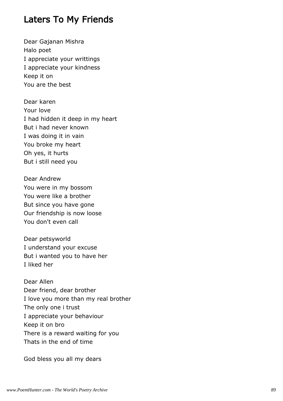#### Laters To My Friends

Dear Gajanan Mishra Halo poet I appreciate your writtings I appreciate your kindness Keep it on You are the best

Dear karen Your love I had hidden it deep in my heart But i had never known I was doing it in vain You broke my heart Oh yes, it hurts But i still need you

Dear Andrew You were in my bossom You were like a brother But since you have gone Our friendship is now loose You don't even call

Dear petsyworld I understand your excuse But i wanted you to have her I liked her

Dear Allen Dear friend, dear brother I love you more than my real brother The only one i trust I appreciate your behaviour Keep it on bro There is a reward waiting for you Thats in the end of time

God bless you all my dears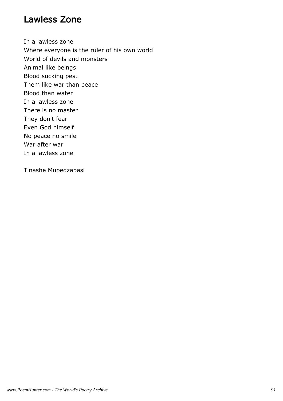#### Lawless Zone

In a lawless zone Where everyone is the ruler of his own world World of devils and monsters Animal like beings Blood sucking pest Them like war than peace Blood than water In a lawless zone There is no master They don't fear Even God himself No peace no smile War after war In a lawless zone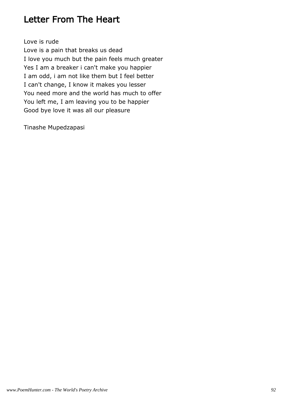#### Letter From The Heart

Love is rude

Love is a pain that breaks us dead I love you much but the pain feels much greater Yes I am a breaker i can't make you happier I am odd, i am not like them but I feel better I can't change, I know it makes you lesser You need more and the world has much to offer You left me, I am leaving you to be happier Good bye love it was all our pleasure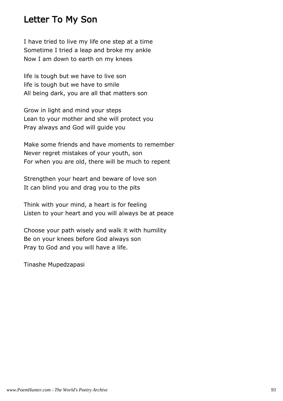#### Letter To My Son

I have tried to live my life one step at a time Sometime I tried a leap and broke my ankle Now I am down to earth on my knees

life is tough but we have to live son life is tough but we have to smile All being dark, you are all that matters son

Grow in light and mind your steps Lean to your mother and she will protect you Pray always and God will guide you

Make some friends and have moments to remember Never regret mistakes of your youth, son For when you are old, there will be much to repent

Strengthen your heart and beware of love son It can blind you and drag you to the pits

Think with your mind, a heart is for feeling Listen to your heart and you will always be at peace

Choose your path wisely and walk it with humility Be on your knees before God always son Pray to God and you will have a life.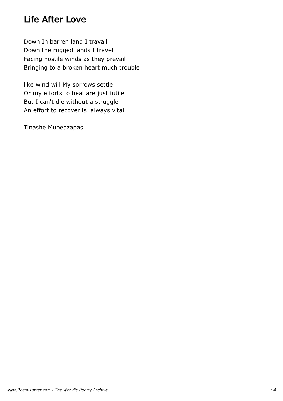#### Life After Love

Down In barren land I travail Down the rugged lands I travel Facing hostile winds as they prevail Bringing to a broken heart much trouble

like wind will My sorrows settle Or my efforts to heal are just futile But I can't die without a struggle An effort to recover is always vital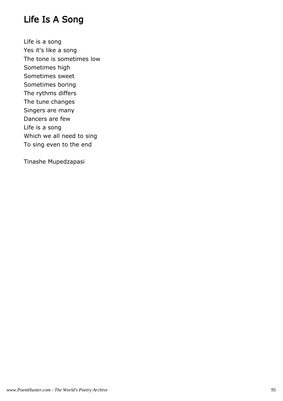#### Life Is A Song

Life is a song Yes it's like a song The tone is sometimes low Sometimes high Sometimes sweet Sometimes boring The rythms differs The tune changes Singers are many Dancers are few Life is a song Which we all need to sing To sing even to the end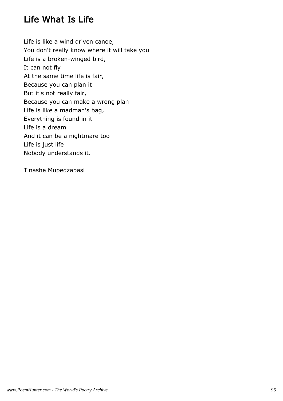## Life What Is Life

Life is like a wind driven canoe, You don't really know where it will take you Life is a broken-winged bird, It can not fly At the same time life is fair, Because you can plan it But it's not really fair, Because you can make a wrong plan Life is like a madman's bag, Everything is found in it Life is a dream And it can be a nightmare too Life is just life Nobody understands it.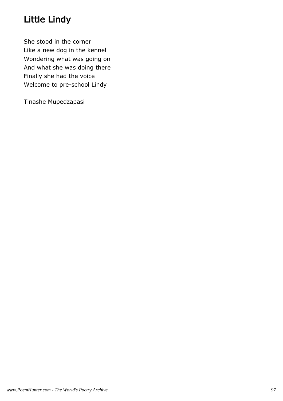# Little Lindy

She stood in the corner Like a new dog in the kennel Wondering what was going on And what she was doing there Finally she had the voice Welcome to pre-school Lindy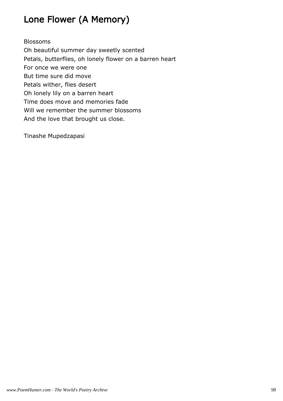# Lone Flower (A Memory)

#### Blossoms

Oh beautiful summer day sweetly scented Petals, butterflies, oh lonely flower on a barren heart For once we were one But time sure did move Petals wither, flies desert Oh lonely lily on a barren heart Time does move and memories fade Will we remember the summer blossoms And the love that brought us close.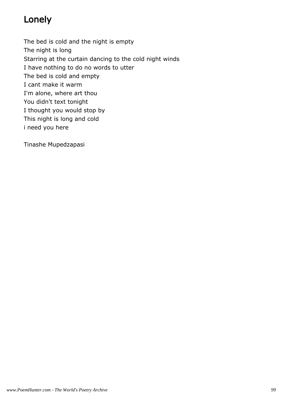## Lonely

The bed is cold and the night is empty The night is long Starring at the curtain dancing to the cold night winds I have nothing to do no words to utter The bed is cold and empty I cant make it warm I'm alone, where art thou You didn't text tonight I thought you would stop by

This night is long and cold

i need you here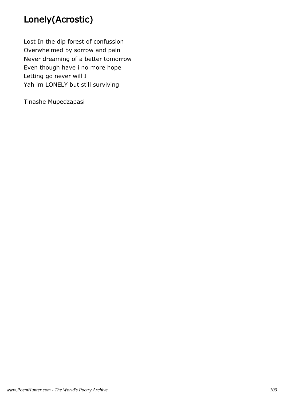# Lonely(Acrostic)

Lost In the dip forest of confussion Overwhelmed by sorrow and pain Never dreaming of a better tomorrow Even though have i no more hope Letting go never will I Yah im LONELY but still surviving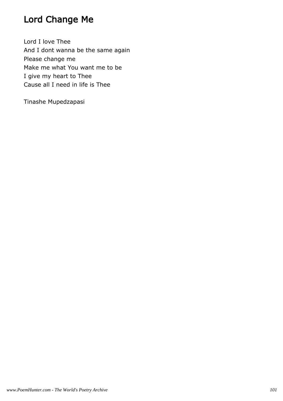# Lord Change Me

Lord I love Thee And I dont wanna be the same again Please change me Make me what You want me to be I give my heart to Thee Cause all I need in life is Thee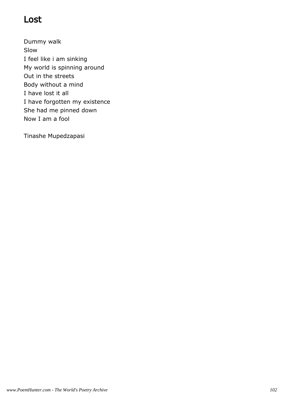## Lost

Dummy walk Slow I feel like i am sinking My world is spinning around Out in the streets Body without a mind I have lost it all I have forgotten my existence She had me pinned down Now I am a fool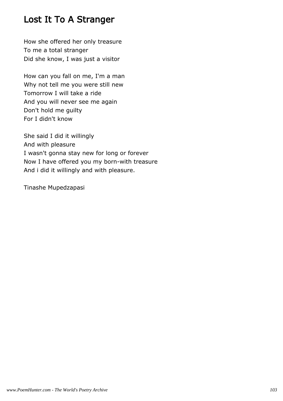#### Lost It To A Stranger

How she offered her only treasure To me a total stranger Did she know, I was just a visitor

How can you fall on me, I'm a man Why not tell me you were still new Tomorrow I will take a ride And you will never see me again Don't hold me guilty For I didn't know

She said I did it willingly And with pleasure I wasn't gonna stay new for long or forever Now I have offered you my born-with treasure And i did it willingly and with pleasure.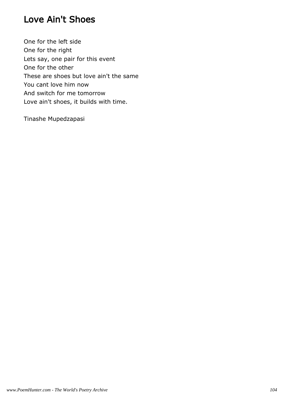## Love Ain't Shoes

One for the left side One for the right Lets say, one pair for this event One for the other These are shoes but love ain't the same You cant love him now And switch for me tomorrow Love ain't shoes, it builds with time.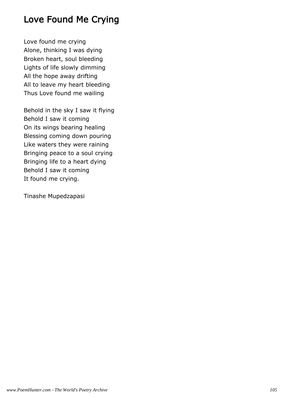## Love Found Me Crying

Love found me crying Alone, thinking I was dying Broken heart, soul bleeding Lights of life slowly dimming All the hope away drifting All to leave my heart bleeding Thus Love found me wailing

Behold in the sky I saw it flying Behold I saw it coming On its wings bearing healing Blessing coming down pouring Like waters they were raining Bringing peace to a soul crying Bringing life to a heart dying Behold I saw it coming It found me crying.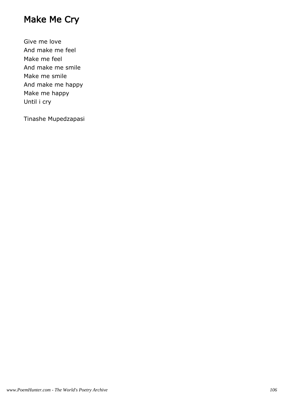## Make Me Cry

Give me love And make me feel Make me feel And make me smile Make me smile And make me happy Make me happy Until i cry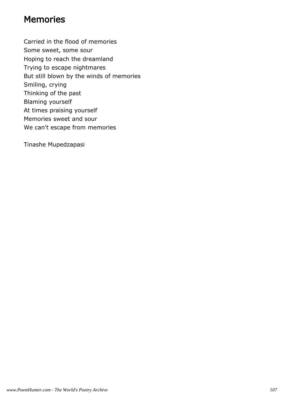#### Memories

Carried in the flood of memories Some sweet, some sour Hoping to reach the dreamland Trying to escape nightmares But still blown by the winds of memories Smiling, crying Thinking of the past Blaming yourself At times praising yourself Memories sweet and sour We can't escape from memories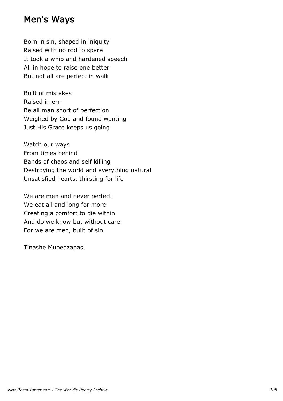#### Men's Ways

Born in sin, shaped in iniquity Raised with no rod to spare It took a whip and hardened speech All in hope to raise one better But not all are perfect in walk

Built of mistakes Raised in err Be all man short of perfection Weighed by God and found wanting Just His Grace keeps us going

Watch our ways From times behind Bands of chaos and self killing Destroying the world and everything natural Unsatisfied hearts, thirsting for life

We are men and never perfect We eat all and long for more Creating a comfort to die within And do we know but without care For we are men, built of sin.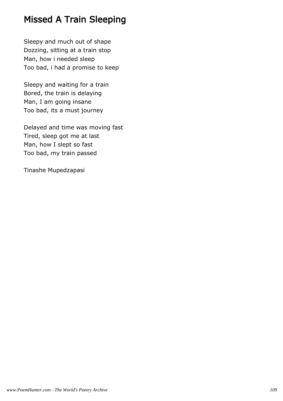# Missed A Train Sleeping

Sleepy and much out of shape Dozzing, sitting at a train stop Man, how i needed sleep Too bad, i had a promise to keep

Sleepy and waiting for a train Bored, the train is delaying Man, I am going insane Too bad, its a must journey

Delayed and time was moving fast Tired, sleep got me at last Man, how I slept so fast Too bad, my train passed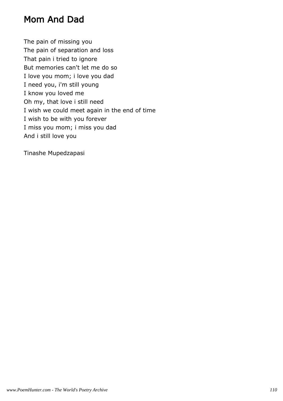### Mom And Dad

The pain of missing you The pain of separation and loss That pain i tried to ignore But memories can't let me do so I love you mom; i love you dad I need you, i'm still young I know you loved me Oh my, that love i still need I wish we could meet again in the end of time I wish to be with you forever I miss you mom; i miss you dad And i still love you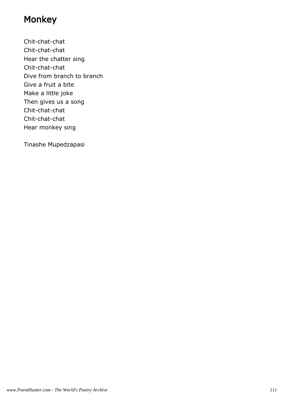## Monkey

Chit-chat-chat Chit-chat-chat Hear the chatter sing Chit-chat-chat Dive from branch to branch Give a fruit a bite Make a little joke Then gives us a song Chit-chat-chat Chit-chat-chat Hear monkey sing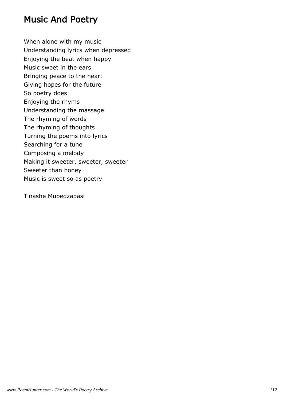#### Music And Poetry

When alone with my music Understanding lyrics when depressed Enjoying the beat when happy Music sweet in the ears Bringing peace to the heart Giving hopes for the future So poetry does Enjoying the rhyms Understanding the massage The rhyming of words The rhyming of thoughts Turning the poems into lyrics Searching for a tune Composing a melody Making it sweeter, sweeter, sweeter Sweeter than honey Music is sweet so as poetry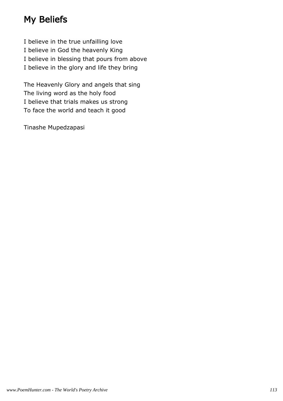# My Beliefs

I believe in the true unfailling love I believe in God the heavenly King I believe in blessing that pours from above I believe in the glory and life they bring

The Heavenly Glory and angels that sing The living word as the holy food I believe that trials makes us strong To face the world and teach it good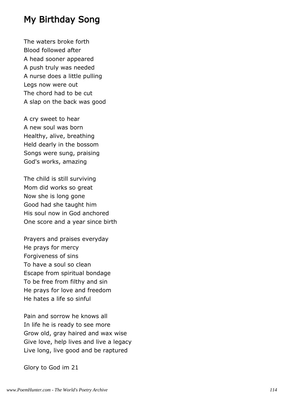#### My Birthday Song

The waters broke forth Blood followed after A head sooner appeared A push truly was needed A nurse does a little pulling Legs now were out The chord had to be cut A slap on the back was good

A cry sweet to hear A new soul was born Healthy, alive, breathing Held dearly in the bossom Songs were sung, praising God's works, amazing

The child is still surviving Mom did works so great Now she is long gone Good had she taught him His soul now in God anchored One score and a year since birth

Prayers and praises everyday He prays for mercy Forgiveness of sins To have a soul so clean Escape from spiritual bondage To be free from filthy and sin He prays for love and freedom He hates a life so sinful

Pain and sorrow he knows all In life he is ready to see more Grow old, gray haired and wax wise Give love, help lives and live a legacy Live long, live good and be raptured

Glory to God im 21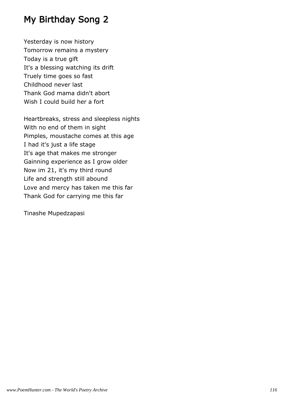# My Birthday Song 2

Yesterday is now history Tomorrow remains a mystery Today is a true gift It's a blessing watching its drift Truely time goes so fast Childhood never last Thank God mama didn't abort Wish I could build her a fort

Heartbreaks, stress and sleepless nights With no end of them in sight Pimples, moustache comes at this age I had it's just a life stage It's age that makes me stronger Gainning experience as I grow older Now im 21, it's my third round Life and strength still abound Love and mercy has taken me this far Thank God for carrying me this far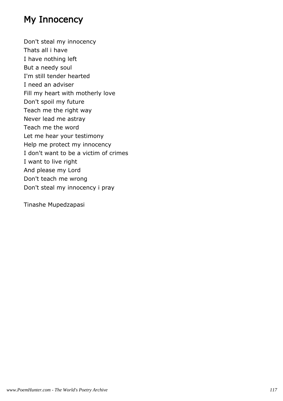## My Innocency

Don't steal my innocency Thats all i have I have nothing left But a needy soul I'm still tender hearted I need an adviser Fill my heart with motherly love Don't spoil my future Teach me the right way Never lead me astray Teach me the word Let me hear your testimony Help me protect my innocency I don't want to be a victim of crimes I want to live right And please my Lord Don't teach me wrong Don't steal my innocency i pray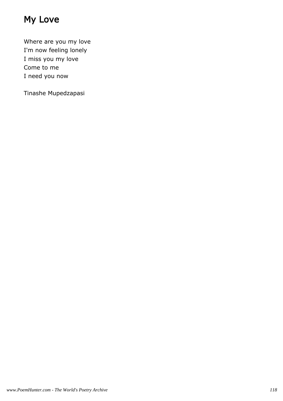# My Love

Where are you my love I'm now feeling lonely I miss you my love Come to me I need you now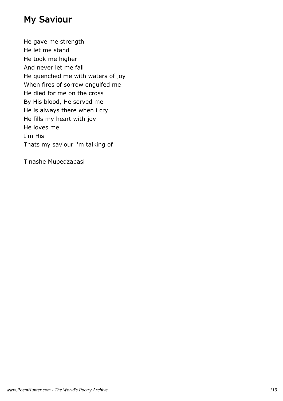### My Saviour

He gave me strength He let me stand He took me higher And never let me fall He quenched me with waters of joy When fires of sorrow engulfed me He died for me on the cross By His blood, He served me He is always there when i cry He fills my heart with joy He loves me I'm His Thats my saviour i'm talking of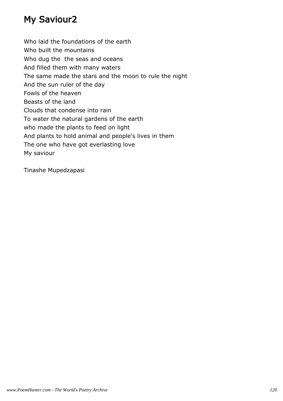# My Saviour2

Who laid the foundations of the earth Who built the mountains Who dug the the seas and oceans And filled them with many waters The same made the stars and the moon to rule the night And the sun ruler of the day Fowls of the heaven Beasts of the land Clouds that condense into rain To water the natural gardens of the earth who made the plants to feed on light And plants to hold animal and people's lives in them The one who have got everlasting love My saviour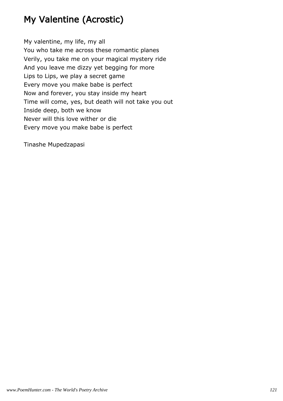# My Valentine (Acrostic)

My valentine, my life, my all You who take me across these romantic planes Verily, you take me on your magical mystery ride And you leave me dizzy yet begging for more Lips to Lips, we play a secret game Every move you make babe is perfect Now and forever, you stay inside my heart Time will come, yes, but death will not take you out Inside deep, both we know Never will this love wither or die Every move you make babe is perfect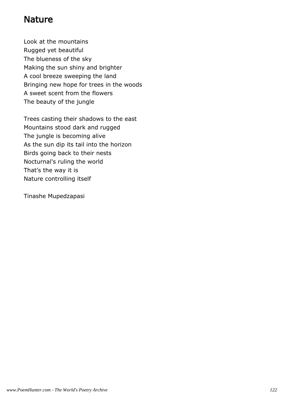#### **Nature**

Look at the mountains Rugged yet beautiful The blueness of the sky Making the sun shiny and brighter A cool breeze sweeping the land Bringing new hope for trees in the woods A sweet scent from the flowers The beauty of the jungle

Trees casting their shadows to the east Mountains stood dark and rugged The jungle is becoming alive As the sun dip its tail into the horizon Birds going back to their nests Nocturnal's ruling the world That's the way it is Nature controlling itself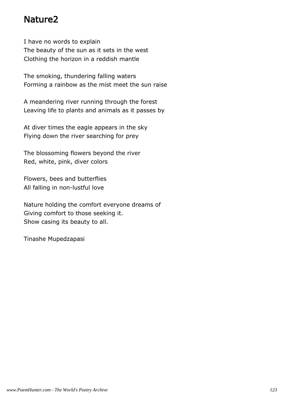#### Nature2

I have no words to explain The beauty of the sun as it sets in the west Clothing the horizon in a reddish mantle

The smoking, thundering falling waters Forming a rainbow as the mist meet the sun raise

A meandering river running through the forest Leaving life to plants and animals as it passes by

At diver times the eagle appears in the sky Flying down the river searching for prey

The blossoming flowers beyond the river Red, white, pink, diver colors

Flowers, bees and butterflies All falling in non-lustful love

Nature holding the comfort everyone dreams of Giving comfort to those seeking it. Show casing its beauty to all.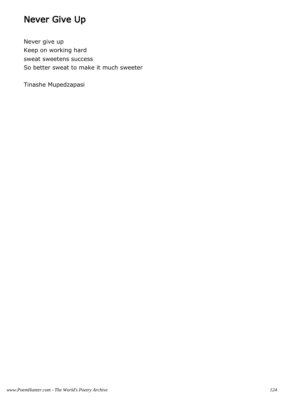# Never Give Up

Never give up Keep on working hard sweat sweetens success So better sweat to make it much sweeter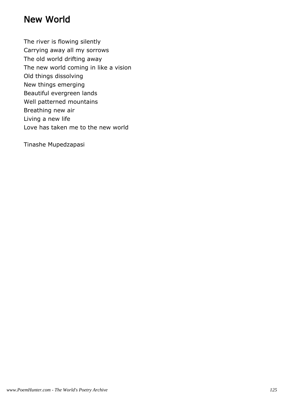#### New World

The river is flowing silently

Carrying away all my sorrows

The old world drifting away

The new world coming in like a vision

Old things dissolving

New things emerging

Beautiful evergreen lands

Well patterned mountains

Breathing new air

Living a new life

Love has taken me to the new world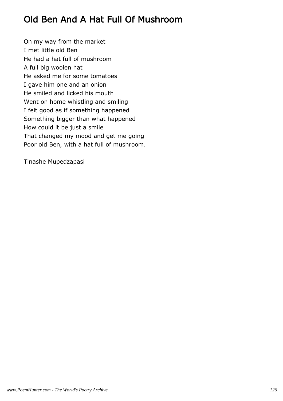# Old Ben And A Hat Full Of Mushroom

On my way from the market I met little old Ben He had a hat full of mushroom A full big woolen hat He asked me for some tomatoes I gave him one and an onion He smiled and licked his mouth Went on home whistling and smiling I felt good as if something happened Something bigger than what happened How could it be just a smile That changed my mood and get me going Poor old Ben, with a hat full of mushroom.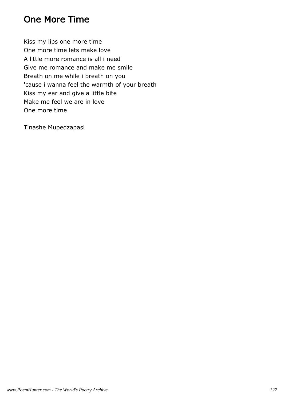### One More Time

Kiss my lips one more time One more time lets make love A little more romance is all i need Give me romance and make me smile Breath on me while i breath on you 'cause i wanna feel the warmth of your breath Kiss my ear and give a little bite Make me feel we are in love One more time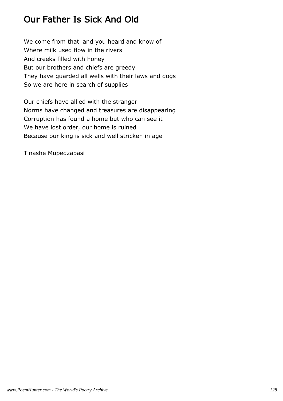# Our Father Is Sick And Old

We come from that land you heard and know of Where milk used flow in the rivers And creeks filled with honey But our brothers and chiefs are greedy They have guarded all wells with their laws and dogs So we are here in search of supplies

Our chiefs have allied with the stranger Norms have changed and treasures are disappearing Corruption has found a home but who can see it We have lost order, our home is ruined Because our king is sick and well stricken in age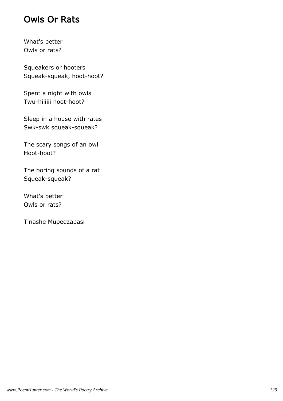### Owls Or Rats

What's better Owls or rats?

Squeakers or hooters Squeak-squeak, hoot-hoot?

Spent a night with owls Twu-hiiiiii hoot-hoot?

Sleep in a house with rates Swk-swk squeak-squeak?

The scary songs of an owl Hoot-hoot?

The boring sounds of a rat Squeak-squeak?

What's better Owls or rats?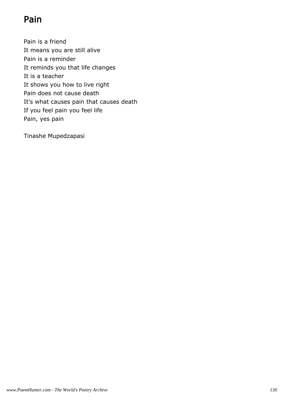# Pain

Pain is a friend It means you are still alive Pain is a reminder It reminds you that life changes It is a teacher It shows you how to live right Pain does not cause death It's what causes pain that causes death If you feel pain you feel life Pain, yes pain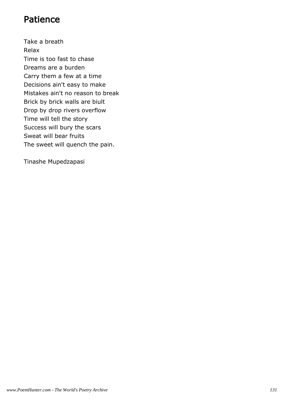### Patience

Take a breath Relax Time is too fast to chase Dreams are a burden Carry them a few at a time Decisions ain't easy to make Mistakes ain't no reason to break Brick by brick walls are biult Drop by drop rivers overflow Time will tell the story Success will bury the scars Sweat will bear fruits The sweet will quench the pain.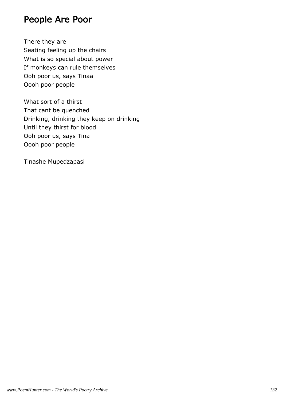#### People Are Poor

There they are Seating feeling up the chairs What is so special about power If monkeys can rule themselves Ooh poor us, says Tinaa Oooh poor people

What sort of a thirst That cant be quenched Drinking, drinking they keep on drinking Until they thirst for blood Ooh poor us, says Tina Oooh poor people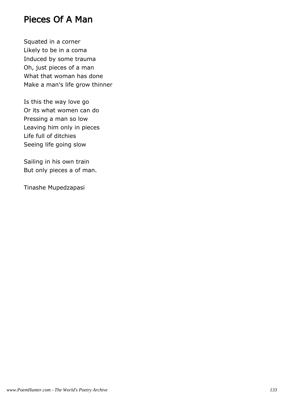#### Pieces Of A Man

Squated in a corner Likely to be in a coma Induced by some trauma Oh, just pieces of a man What that woman has done Make a man's life grow thinner

Is this the way love go Or its what women can do Pressing a man so low Leaving him only in pieces Life full of ditchies Seeing life going slow

Sailing in his own train But only pieces a of man.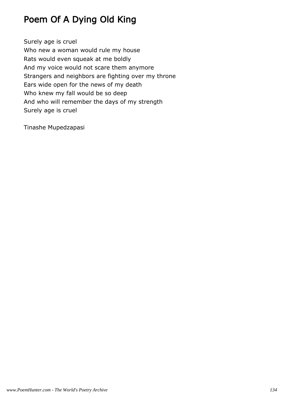# Poem Of A Dying Old King

Surely age is cruel Who new a woman would rule my house Rats would even squeak at me boldly And my voice would not scare them anymore Strangers and neighbors are fighting over my throne Ears wide open for the news of my death Who knew my fall would be so deep And who will remember the days of my strength Surely age is cruel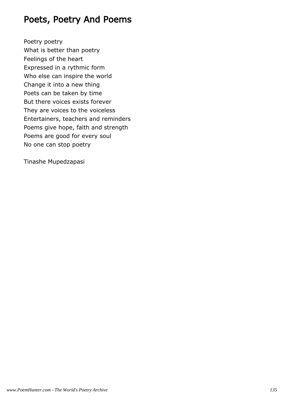### Poets, Poetry And Poems

Poetry poetry What is better than poetry Feelings of the heart Expressed in a rythmic form Who else can inspire the world Change it into a new thing Poets can be taken by time But there voices exists forever They are voices to the voiceless Entertainers, teachers and reminders Poems give hope, faith and strength Poems are good for every soul No one can stop poetry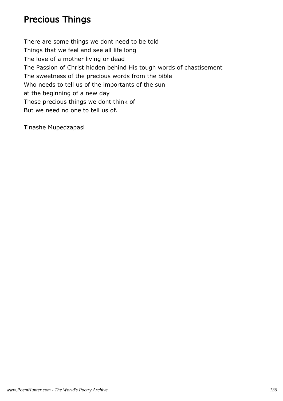# Precious Things

There are some things we dont need to be told Things that we feel and see all life long The love of a mother living or dead The Passion of Christ hidden behind His tough words of chastisement The sweetness of the precious words from the bible Who needs to tell us of the importants of the sun at the beginning of a new day Those precious things we dont think of But we need no one to tell us of.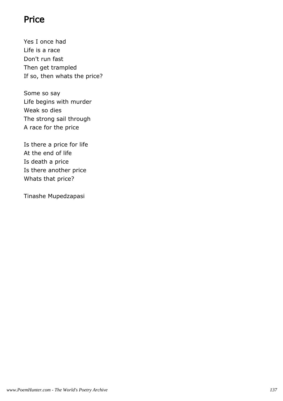### Price

Yes I once had Life is a race Don't run fast Then get trampled If so, then whats the price?

Some so say Life begins with murder Weak so dies The strong sail through A race for the price

Is there a price for life At the end of life Is death a price Is there another price Whats that price?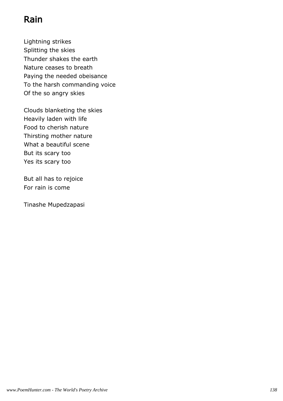# Rain

Lightning strikes Splitting the skies Thunder shakes the earth Nature ceases to breath Paying the needed obeisance To the harsh commanding voice Of the so angry skies

Clouds blanketing the skies Heavily laden with life Food to cherish nature Thirsting mother nature What a beautiful scene But its scary too Yes its scary too

But all has to rejoice For rain is come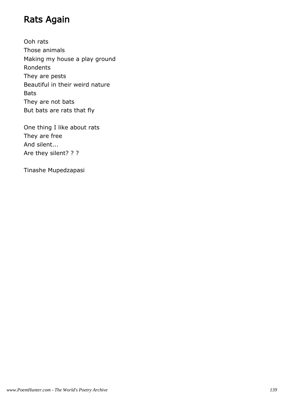### Rats Again

Ooh rats Those animals Making my house a play ground Rondents They are pests Beautiful in their weird nature Bats They are not bats But bats are rats that fly

One thing I like about rats They are free And silent... Are they silent? ? ?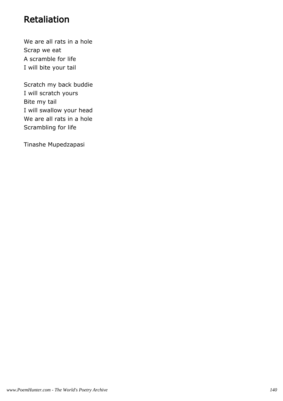# Retaliation

We are all rats in a hole Scrap we eat A scramble for life I will bite your tail

Scratch my back buddie I will scratch yours Bite my tail I will swallow your head We are all rats in a hole Scrambling for life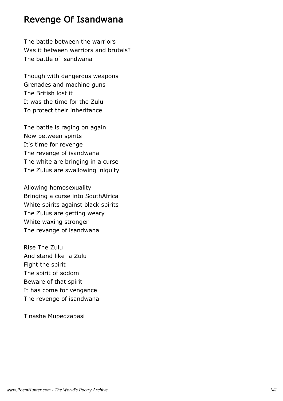#### Revenge Of Isandwana

The battle between the warriors Was it between warriors and brutals? The battle of isandwana

Though with dangerous weapons Grenades and machine guns The British lost it It was the time for the Zulu To protect their inheritance

The battle is raging on again Now between spirits It's time for revenge The revenge of isandwana The white are bringing in a curse The Zulus are swallowing iniquity

Allowing homosexuality Bringing a curse into SouthAfrica White spirits against black spirits The Zulus are getting weary White waxing stronger The revange of isandwana

Rise The Zulu And stand like a Zulu Fight the spirit The spirit of sodom Beware of that spirit It has come for vengance The revenge of isandwana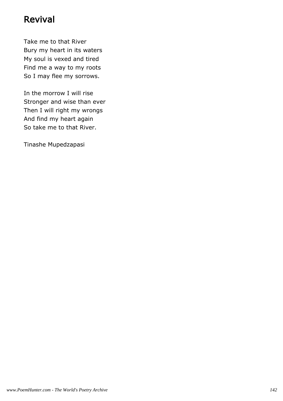#### Revival

Take me to that River Bury my heart in its waters My soul is vexed and tired Find me a way to my roots So I may flee my sorrows.

In the morrow I will rise Stronger and wise than ever Then I will right my wrongs And find my heart again So take me to that River.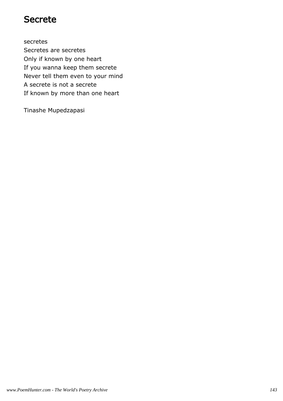#### Secrete

secretes Secretes are secretes Only if known by one heart If you wanna keep them secrete Never tell them even to your mind A secrete is not a secrete If known by more than one heart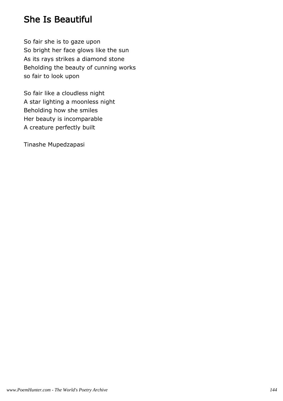#### She Is Beautiful

So fair she is to gaze upon So bright her face glows like the sun As its rays strikes a diamond stone Beholding the beauty of cunning works so fair to look upon

So fair like a cloudless night A star lighting a moonless night Beholding how she smiles Her beauty is incomparable A creature perfectly built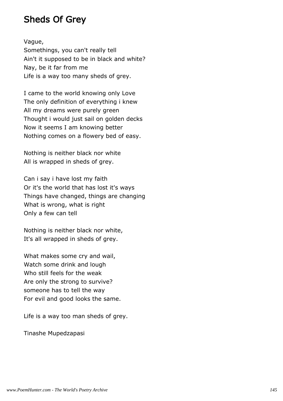#### Sheds Of Grey

Vague,

Somethings, you can't really tell Ain't it supposed to be in black and white? Nay, be it far from me Life is a way too many sheds of grey.

I came to the world knowing only Love The only definition of everything i knew All my dreams were purely green Thought i would just sail on golden decks Now it seems I am knowing better Nothing comes on a flowery bed of easy.

Nothing is neither black nor white All is wrapped in sheds of grey.

Can i say i have lost my faith Or it's the world that has lost it's ways Things have changed, things are changing What is wrong, what is right Only a few can tell

Nothing is neither black nor white, It's all wrapped in sheds of grey.

What makes some cry and wail, Watch some drink and lough Who still feels for the weak Are only the strong to survive? someone has to tell the way For evil and good looks the same.

Life is a way too man sheds of grey.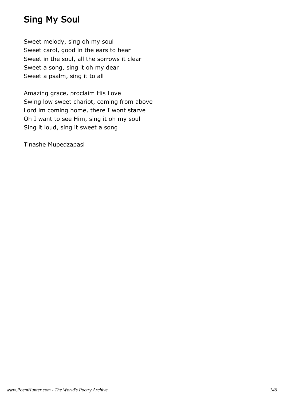## Sing My Soul

Sweet melody, sing oh my soul Sweet carol, good in the ears to hear Sweet in the soul, all the sorrows it clear Sweet a song, sing it oh my dear Sweet a psalm, sing it to all

Amazing grace, proclaim His Love Swing low sweet chariot, coming from above Lord im coming home, there I wont starve Oh I want to see Him, sing it oh my soul Sing it loud, sing it sweet a song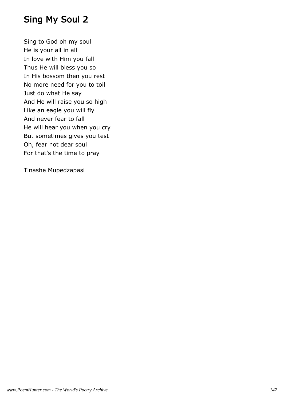# Sing My Soul 2

Sing to God oh my soul He is your all in all In love with Him you fall Thus He will bless you so In His bossom then you rest No more need for you to toil Just do what He say And He will raise you so high Like an eagle you will fly And never fear to fall He will hear you when you cry But sometimes gives you test Oh, fear not dear soul For that's the time to pray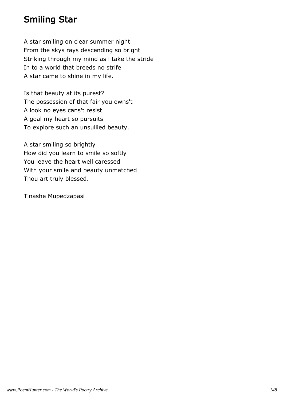#### Smiling Star

A star smiling on clear summer night From the skys rays descending so bright Striking through my mind as i take the stride In to a world that breeds no strife A star came to shine in my life.

Is that beauty at its purest? The possession of that fair you owns't A look no eyes cans't resist A goal my heart so pursuits To explore such an unsullied beauty.

A star smiling so brightly How did you learn to smile so softly You leave the heart well caressed With your smile and beauty unmatched Thou art truly blessed.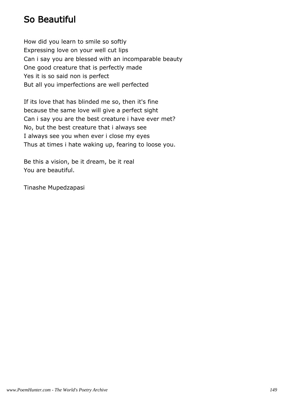#### So Beautiful

How did you learn to smile so softly Expressing love on your well cut lips Can i say you are blessed with an incomparable beauty One good creature that is perfectly made Yes it is so said non is perfect But all you imperfections are well perfected

If its love that has blinded me so, then it's fine because the same love will give a perfect sight Can i say you are the best creature i have ever met? No, but the best creature that i always see I always see you when ever i close my eyes Thus at times i hate waking up, fearing to loose you.

Be this a vision, be it dream, be it real You are beautiful.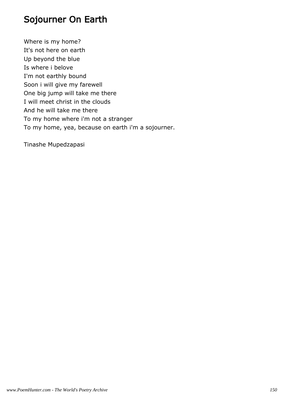#### Sojourner On Earth

Where is my home? It's not here on earth Up beyond the blue Is where i belove I'm not earthly bound Soon i will give my farewell One big jump will take me there I will meet christ in the clouds And he will take me there To my home where i'm not a stranger To my home, yea, because on earth i'm a sojourner.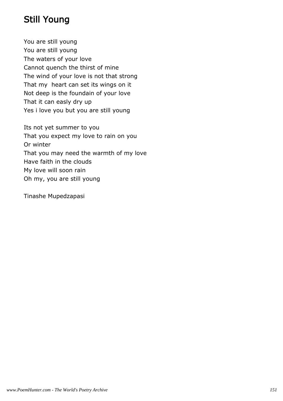## Still Young

You are still young You are still young The waters of your love Cannot quench the thirst of mine The wind of your love is not that strong That my heart can set its wings on it Not deep is the foundain of your love That it can easly dry up Yes i love you but you are still young

Its not yet summer to you That you expect my love to rain on you Or winter That you may need the warmth of my love Have faith in the clouds My love will soon rain Oh my, you are still young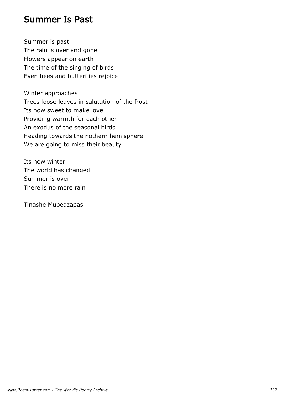#### Summer Is Past

Summer is past The rain is over and gone Flowers appear on earth The time of the singing of birds Even bees and butterflies rejoice

Winter approaches Trees loose leaves in salutation of the frost Its now sweet to make love Providing warmth for each other An exodus of the seasonal birds Heading towards the nothern hemisphere We are going to miss their beauty

Its now winter The world has changed Summer is over There is no more rain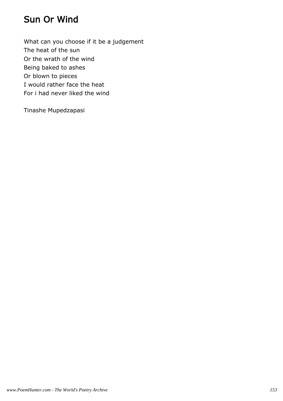### Sun Or Wind

What can you choose if it be a judgement The heat of the sun Or the wrath of the wind Being baked to ashes Or blown to pieces I would rather face the heat For i had never liked the wind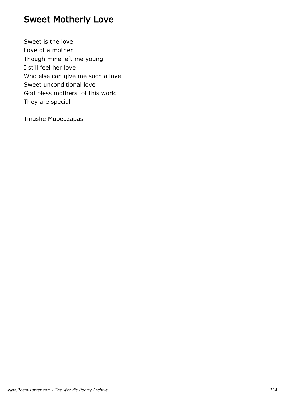# Sweet Motherly Love

Sweet is the love Love of a mother Though mine left me young I still feel her love Who else can give me such a love Sweet unconditional love God bless mothers of this world They are special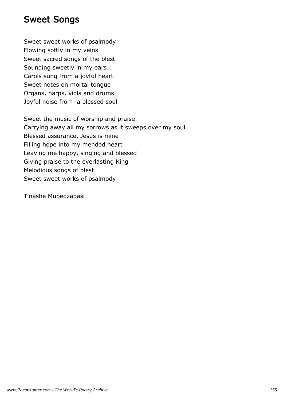#### Sweet Songs

Sweet sweet works of psalmody Flowing softly in my veins Sweet sacred songs of the blest Sounding sweetly in my ears Carols sung from a joyful heart Sweet notes on mortal tongue Organs, harps, viols and drums Joyful noise from a blessed soul

Sweet the music of worship and praise Carrying away all my sorrows as it sweeps over my soul Blessed assurance, Jesus is mine Filling hope into my mended heart Leaving me happy, singing and blessed Giving praise to the everlasting King Melodious songs of blest Sweet sweet works of psalmody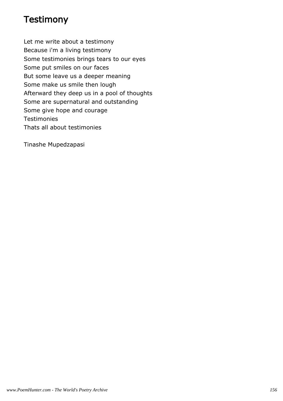#### **Testimony**

Let me write about a testimony Because i'm a living testimony Some testimonies brings tears to our eyes Some put smiles on our faces But some leave us a deeper meaning Some make us smile then lough Afterward they deep us in a pool of thoughts Some are supernatural and outstanding Some give hope and courage **Testimonies** Thats all about testimonies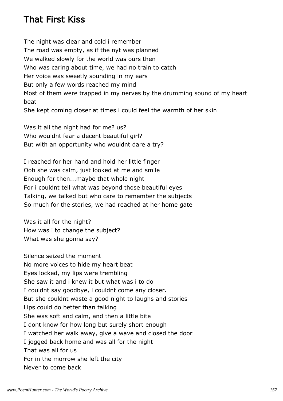#### That First Kiss

The night was clear and cold i remember The road was empty, as if the nyt was planned We walked slowly for the world was ours then Who was caring about time, we had no train to catch Her voice was sweetly sounding in my ears But only a few words reached my mind Most of them were trapped in my nerves by the drumming sound of my heart beat She kept coming closer at times i could feel the warmth of her skin

Was it all the night had for me? us? Who wouldnt fear a decent beautiful girl? But with an opportunity who wouldnt dare a try?

I reached for her hand and hold her little finger Ooh she was calm, just looked at me and smile Enough for then...maybe that whole night For i couldnt tell what was beyond those beautiful eyes Talking, we talked but who care to remember the subjects So much for the stories, we had reached at her home gate

Was it all for the night? How was i to change the subject? What was she gonna say?

Silence seized the moment No more voices to hide my heart beat Eyes locked, my lips were trembling She saw it and i knew it but what was i to do I couldnt say goodbye, i couldnt come any closer. But she couldnt waste a good night to laughs and stories Lips could do better than talking She was soft and calm, and then a little bite I dont know for how long but surely short enough I watched her walk away, give a wave and closed the door I jogged back home and was all for the night That was all for us For in the morrow she left the city Never to come back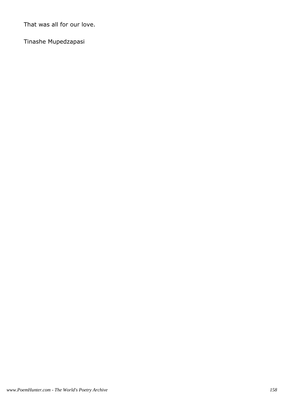That was all for our love.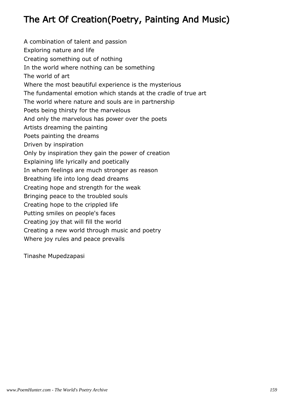# The Art Of Creation(Poetry, Painting And Music)

A combination of talent and passion Exploring nature and life Creating something out of nothing In the world where nothing can be something The world of art Where the most beautiful experience is the mysterious The fundamental emotion which stands at the cradle of true art The world where nature and souls are in partnership Poets being thirsty for the marvelous And only the marvelous has power over the poets Artists dreaming the painting Poets painting the dreams Driven by inspiration Only by inspiration they gain the power of creation Explaining life lyrically and poetically In whom feelings are much stronger as reason Breathing life into long dead dreams Creating hope and strength for the weak Bringing peace to the troubled souls Creating hope to the crippled life Putting smiles on people's faces Creating joy that will fill the world Creating a new world through music and poetry Where joy rules and peace prevails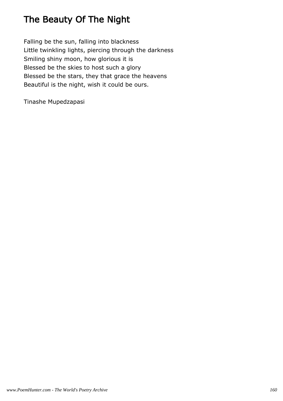# The Beauty Of The Night

Falling be the sun, falling into blackness Little twinkling lights, piercing through the darkness Smiling shiny moon, how glorious it is Blessed be the skies to host such a glory Blessed be the stars, they that grace the heavens Beautiful is the night, wish it could be ours.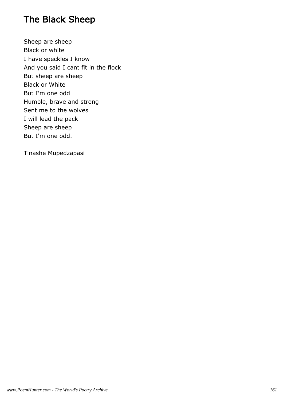## The Black Sheep

Sheep are sheep Black or white I have speckles I know And you said I cant fit in the flock But sheep are sheep Black or White But I'm one odd Humble, brave and strong Sent me to the wolves I will lead the pack Sheep are sheep But I'm one odd.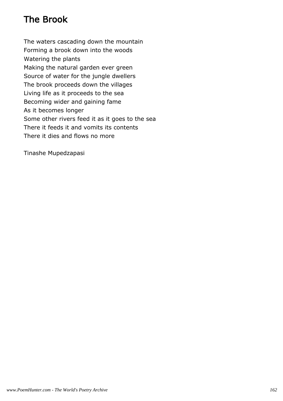# The Brook

The waters cascading down the mountain Forming a brook down into the woods Watering the plants Making the natural garden ever green Source of water for the jungle dwellers The brook proceeds down the villages Living life as it proceeds to the sea Becoming wider and gaining fame As it becomes longer Some other rivers feed it as it goes to the sea There it feeds it and vomits its contents There it dies and flows no more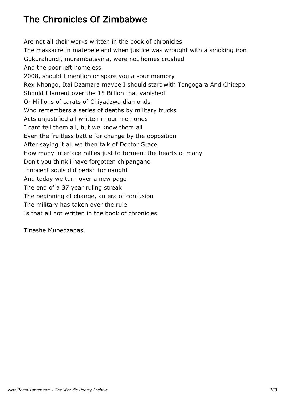# The Chronicles Of Zimbabwe

Are not all their works written in the book of chronicles The massacre in matebeleland when justice was wrought with a smoking iron Gukurahundi, murambatsvina, were not homes crushed And the poor left homeless 2008, should I mention or spare you a sour memory Rex Nhongo, Itai Dzamara maybe I should start with Tongogara And Chitepo Should I lament over the 15 Billion that vanished Or Millions of carats of Chiyadzwa diamonds Who remembers a series of deaths by military trucks Acts unjustified all written in our memories I cant tell them all, but we know them all Even the fruitless battle for change by the opposition After saying it all we then talk of Doctor Grace How many interface rallies just to torment the hearts of many Don't you think i have forgotten chipangano Innocent souls did perish for naught And today we turn over a new page The end of a 37 year ruling streak The beginning of change, an era of confusion The military has taken over the rule Is that all not written in the book of chronicles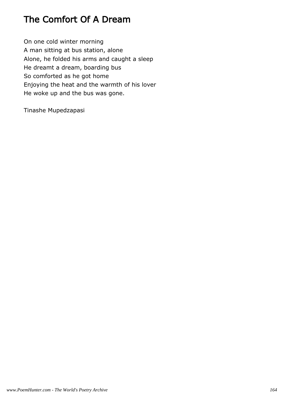## The Comfort Of A Dream

On one cold winter morning A man sitting at bus station, alone Alone, he folded his arms and caught a sleep He dreamt a dream, boarding bus So comforted as he got home Enjoying the heat and the warmth of his lover He woke up and the bus was gone.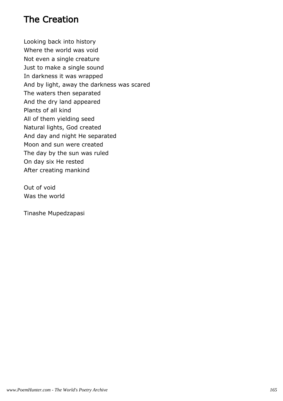#### The Creation

Looking back into history Where the world was void Not even a single creature Just to make a single sound In darkness it was wrapped And by light, away the darkness was scared The waters then separated And the dry land appeared Plants of all kind All of them yielding seed Natural lights, God created And day and night He separated Moon and sun were created The day by the sun was ruled On day six He rested After creating mankind

Out of void Was the world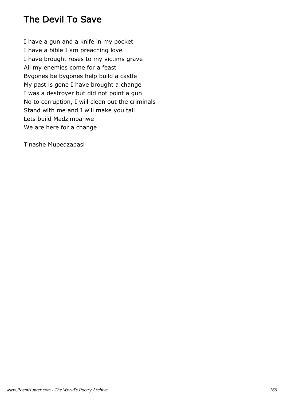## The Devil To Save

I have a gun and a knife in my pocket I have a bible I am preaching love I have brought roses to my victims grave All my enemies come for a feast Bygones be bygones help build a castle My past is gone I have brought a change I was a destroyer but did not point a gun No to corruption, I will clean out the criminals Stand with me and I will make you tall Lets build Madzimbahwe We are here for a change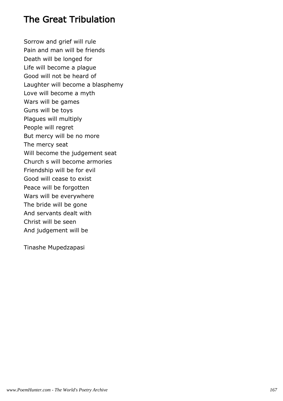#### The Great Tribulation

Sorrow and grief will rule Pain and man will be friends Death will be longed for Life will become a plague Good will not be heard of Laughter will become a blasphemy Love will become a myth Wars will be games Guns will be toys Plagues will multiply People will regret But mercy will be no more The mercy seat Will become the judgement seat Church s will become armories Friendship will be for evil Good will cease to exist Peace will be forgotten Wars will be everywhere The bride will be gone And servants dealt with Christ will be seen And judgement will be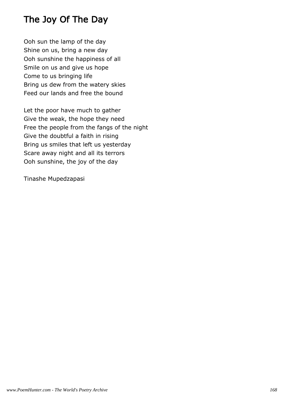## The Joy Of The Day

Ooh sun the lamp of the day Shine on us, bring a new day Ooh sunshine the happiness of all Smile on us and give us hope Come to us bringing life Bring us dew from the watery skies Feed our lands and free the bound

Let the poor have much to gather Give the weak, the hope they need Free the people from the fangs of the night Give the doubtful a faith in rising Bring us smiles that left us yesterday Scare away night and all its terrors Ooh sunshine, the joy of the day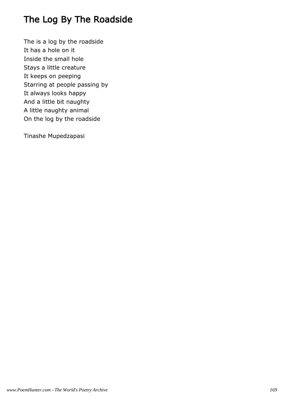# The Log By The Roadside

The is a log by the roadside It has a hole on it Inside the small hole Stays a little creature It keeps on peeping Starring at people passing by It always looks happy And a little bit naughty A little naughty animal On the log by the roadside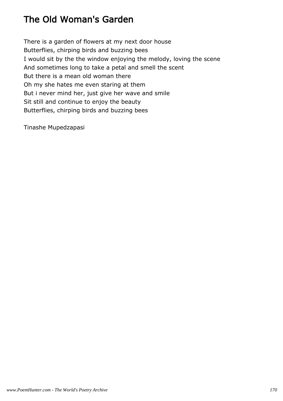## The Old Woman's Garden

There is a garden of flowers at my next door house Butterflies, chirping birds and buzzing bees I would sit by the the window enjoying the melody, loving the scene And sometimes long to take a petal and smell the scent But there is a mean old woman there Oh my she hates me even staring at them But i never mind her, just give her wave and smile Sit still and continue to enjoy the beauty Butterflies, chirping birds and buzzing bees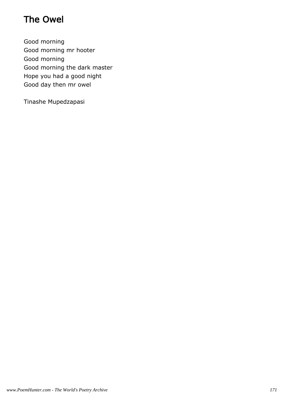# The Owel

Good morning Good morning mr hooter Good morning Good morning the dark master Hope you had a good night Good day then mr owel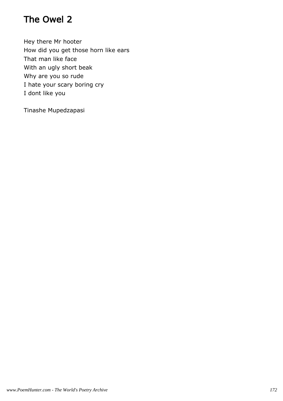## The Owel 2

Hey there Mr hooter How did you get those horn like ears That man like face With an ugly short beak Why are you so rude I hate your scary boring cry I dont like you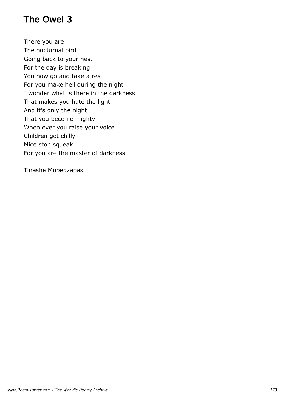## The Owel 3

There you are The nocturnal bird Going back to your nest For the day is breaking You now go and take a rest For you make hell during the night I wonder what is there in the darkness That makes you hate the light And it's only the night That you become mighty When ever you raise your voice Children got chilly Mice stop squeak For you are the master of darkness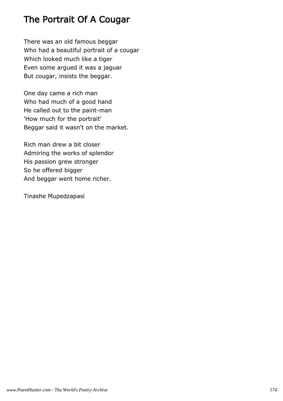#### The Portrait Of A Cougar

There was an old famous beggar Who had a beautiful portrait of a cougar Which looked much like a tiger Even some argued it was a jaguar But cougar, insists the beggar.

One day came a rich man Who had much of a good hand He called out to the paint-man 'How much for the portrait' Beggar said it wasn't on the market.

Rich man drew a bit closer Admiring the works of splendor His passion grew stronger So he offered bigger And beggar went home richer.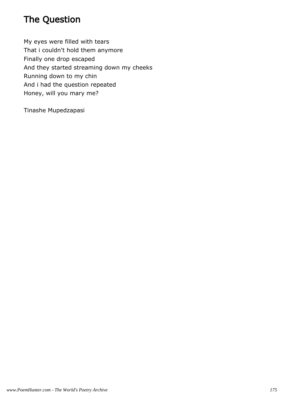# The Question

My eyes were filled with tears That i couldn't hold them anymore Finally one drop escaped And they started streaming down my cheeks Running down to my chin And i had the question repeated Honey, will you mary me?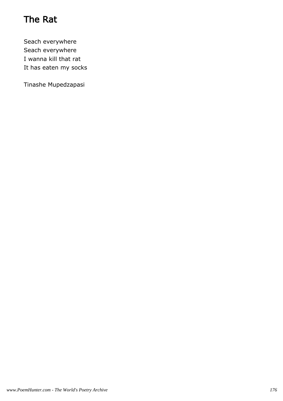# The Rat

Seach everywhere Seach everywhere I wanna kill that rat It has eaten my socks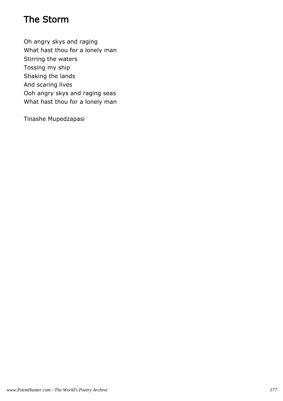## The Storm

Oh angry skys and raging What hast thou for a lonely man Stirring the waters Tossing my ship Shaking the lands And scaring lives Ooh angry skys and raging seas What hast thou for a lonely man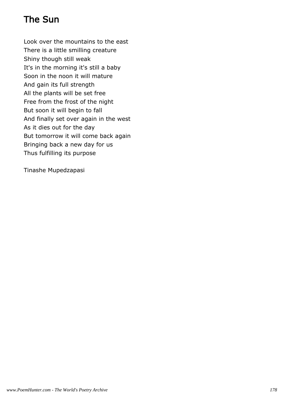# The Sun

Look over the mountains to the east There is a little smilling creature Shiny though still weak It's in the morning it's still a baby Soon in the noon it will mature And gain its full strength All the plants will be set free Free from the frost of the night But soon it will begin to fall And finally set over again in the west As it dies out for the day But tomorrow it will come back again Bringing back a new day for us Thus fulfilling its purpose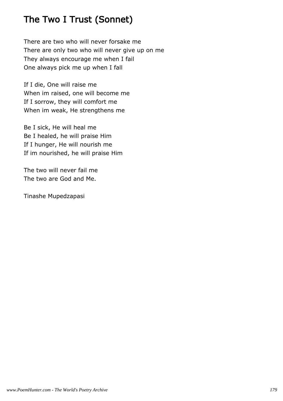# The Two I Trust (Sonnet)

There are two who will never forsake me There are only two who will never give up on me They always encourage me when I fail One always pick me up when I fall

If I die, One will raise me When im raised, one will become me If I sorrow, they will comfort me When im weak, He strengthens me

Be I sick, He will heal me Be I healed, he will praise Him If I hunger, He will nourish me If im nourished, he will praise Him

The two will never fail me The two are God and Me.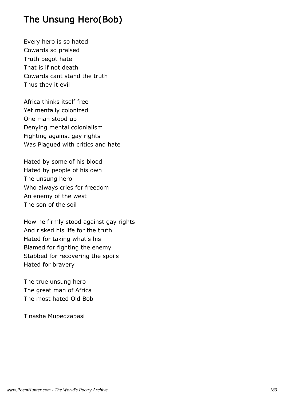# The Unsung Hero(Bob)

Every hero is so hated Cowards so praised Truth begot hate That is if not death Cowards cant stand the truth Thus they it evil

Africa thinks itself free Yet mentally colonized One man stood up Denying mental colonialism Fighting against gay rights Was Plagued with critics and hate

Hated by some of his blood Hated by people of his own The unsung hero Who always cries for freedom An enemy of the west The son of the soil

How he firmly stood against gay rights And risked his life for the truth Hated for taking what's his Blamed for fighting the enemy Stabbed for recovering the spoils Hated for bravery

The true unsung hero The great man of Africa The most hated Old Bob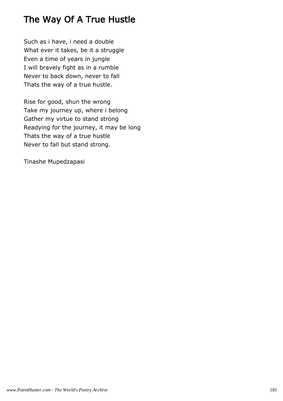# The Way Of A True Hustle

Such as i have, i need a double What ever it takes, be it a struggle Even a time of years in jungle I will bravely fight as in a rumble Never to back down, never to fall Thats the way of a true hustle.

Rise for good, shun the wrong Take my journey up, where i belong Gather my virtue to stand strong Readying for the journey, it may be long Thats the way of a true hustle Never to fall but stand strong.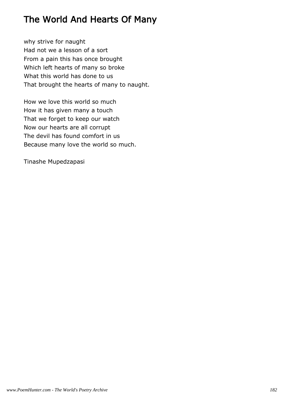# The World And Hearts Of Many

why strive for naught Had not we a lesson of a sort From a pain this has once brought Which left hearts of many so broke What this world has done to us That brought the hearts of many to naught.

How we love this world so much How it has given many a touch That we forget to keep our watch Now our hearts are all corrupt The devil has found comfort in us Because many love the world so much.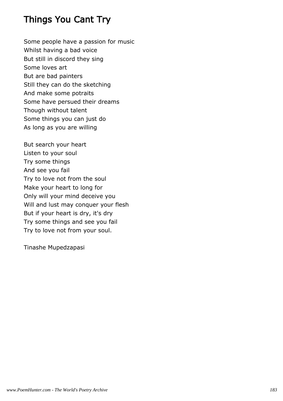## Things You Cant Try

Some people have a passion for music Whilst having a bad voice But still in discord they sing Some loves art But are bad painters Still they can do the sketching And make some potraits Some have persued their dreams Though without talent Some things you can just do As long as you are willing

But search your heart Listen to your soul Try some things And see you fail Try to love not from the soul Make your heart to long for Only will your mind deceive you Will and lust may conquer your flesh But if your heart is dry, it's dry Try some things and see you fail Try to love not from your soul.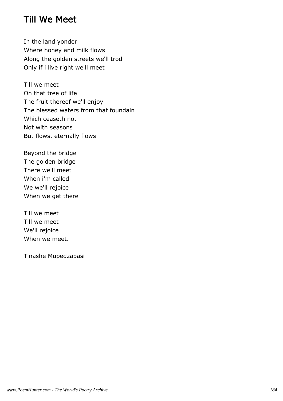### Till We Meet

In the land yonder Where honey and milk flows Along the golden streets we'll trod Only if i live right we'll meet

Till we meet On that tree of life The fruit thereof we'll enjoy The blessed waters from that foundain Which ceaseth not Not with seasons But flows, eternally flows

Beyond the bridge The golden bridge There we'll meet When i'm called We we'll rejoice When we get there

Till we meet Till we meet We'll rejoice When we meet.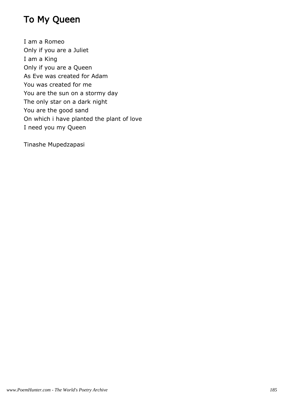# To My Queen

I am a Romeo Only if you are a Juliet I am a King Only if you are a Queen As Eve was created for Adam You was created for me You are the sun on a stormy day The only star on a dark night You are the good sand On which i have planted the plant of love I need you my Queen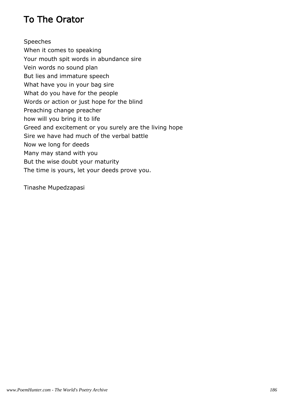## To The Orator

Speeches When it comes to speaking Your mouth spit words in abundance sire Vein words no sound plan But lies and immature speech What have you in your bag sire What do you have for the people Words or action or just hope for the blind Preaching change preacher how will you bring it to life Greed and excitement or you surely are the living hope Sire we have had much of the verbal battle Now we long for deeds Many may stand with you But the wise doubt your maturity The time is yours, let your deeds prove you.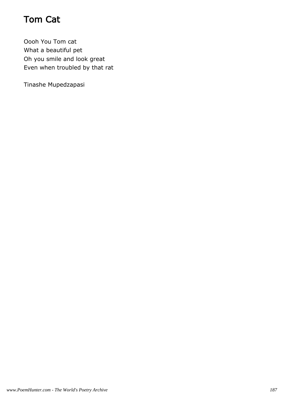# Tom Cat

Oooh You Tom cat What a beautiful pet Oh you smile and look great Even when troubled by that rat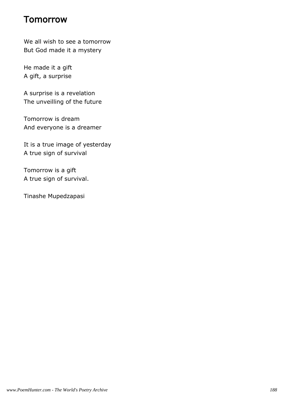#### **Tomorrow**

We all wish to see a tomorrow But God made it a mystery

He made it a gift A gift, a surprise

A surprise is a revelation The unveilling of the future

Tomorrow is dream And everyone is a dreamer

It is a true image of yesterday A true sign of survival

Tomorrow is a gift A true sign of survival.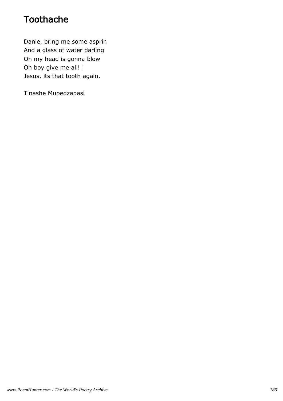## Toothache

Danie, bring me some asprin And a glass of water darling Oh my head is gonna blow Oh boy give me all! ! Jesus, its that tooth again.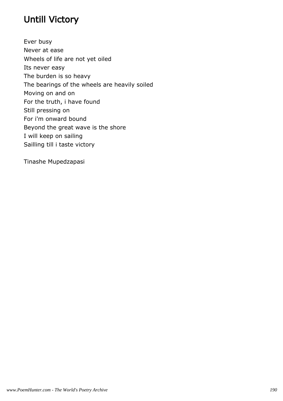# Untill Victory

Ever busy Never at ease Wheels of life are not yet oiled Its never easy The burden is so heavy The bearings of the wheels are heavily soiled Moving on and on For the truth, i have found Still pressing on For i'm onward bound Beyond the great wave is the shore I will keep on sailing Sailling till i taste victory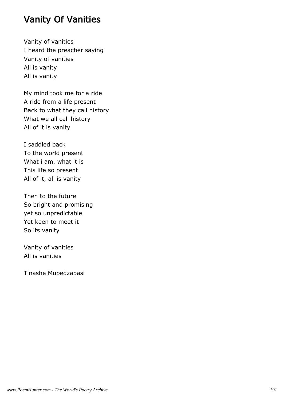#### Vanity Of Vanities

Vanity of vanities I heard the preacher saying Vanity of vanities All is vanity All is vanity

My mind took me for a ride A ride from a life present Back to what they call history What we all call history All of it is vanity

I saddled back To the world present What i am, what it is This life so present All of it, all is vanity

Then to the future So bright and promising yet so unpredictable Yet keen to meet it So its vanity

Vanity of vanities All is vanities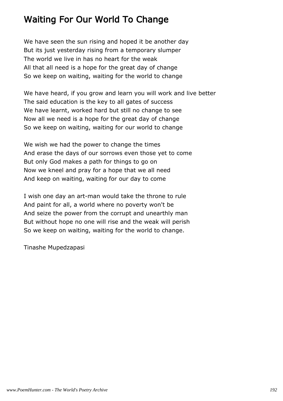# Waiting For Our World To Change

We have seen the sun rising and hoped it be another day But its just yesterday rising from a temporary slumper The world we live in has no heart for the weak All that all need is a hope for the great day of change So we keep on waiting, waiting for the world to change

We have heard, if you grow and learn you will work and live better The said education is the key to all gates of success We have learnt, worked hard but still no change to see Now all we need is a hope for the great day of change So we keep on waiting, waiting for our world to change

We wish we had the power to change the times And erase the days of our sorrows even those yet to come But only God makes a path for things to go on Now we kneel and pray for a hope that we all need And keep on waiting, waiting for our day to come

I wish one day an art-man would take the throne to rule And paint for all, a world where no poverty won't be And seize the power from the corrupt and unearthly man But without hope no one will rise and the weak will perish So we keep on waiting, waiting for the world to change.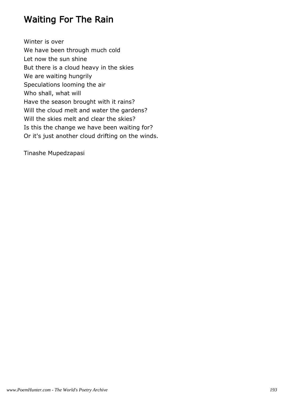#### Waiting For The Rain

Winter is over We have been through much cold Let now the sun shine But there is a cloud heavy in the skies We are waiting hungrily Speculations looming the air Who shall, what will Have the season brought with it rains? Will the cloud melt and water the gardens? Will the skies melt and clear the skies? Is this the change we have been waiting for? Or it's just another cloud drifting on the winds.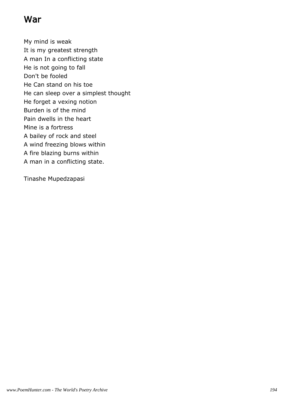## War

My mind is weak It is my greatest strength A man In a conflicting state He is not going to fall Don't be fooled He Can stand on his toe He can sleep over a simplest thought He forget a vexing notion Burden is of the mind Pain dwells in the heart Mine is a fortress A bailey of rock and steel A wind freezing blows within A fire blazing burns within A man in a conflicting state.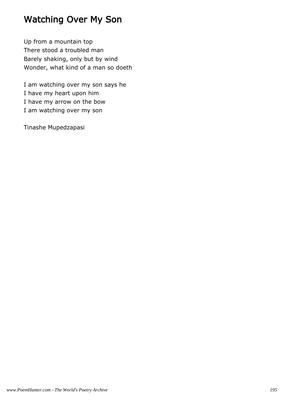# Watching Over My Son

Up from a mountain top There stood a troubled man Barely shaking, only but by wind Wonder, what kind of a man so doeth

I am watching over my son says he I have my heart upon him I have my arrow on the bow I am watching over my son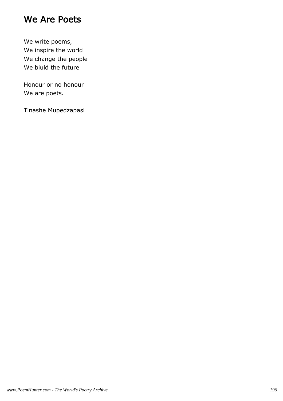#### We Are Poets

We write poems, We inspire the world We change the people We biuld the future

Honour or no honour We are poets.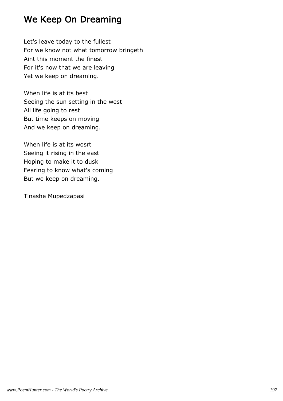## We Keep On Dreaming

Let's leave today to the fullest For we know not what tomorrow bringeth Aint this moment the finest For it's now that we are leaving Yet we keep on dreaming.

When life is at its best Seeing the sun setting in the west All life going to rest But time keeps on moving And we keep on dreaming.

When life is at its wosrt Seeing it rising in the east Hoping to make it to dusk Fearing to know what's coming But we keep on dreaming.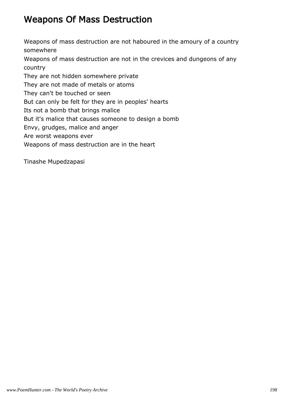### Weapons Of Mass Destruction

Weapons of mass destruction are not haboured in the amoury of a country somewhere

Weapons of mass destruction are not in the crevices and dungeons of any country

They are not hidden somewhere private

They are not made of metals or atoms

They can't be touched or seen

But can only be felt for they are in peoples' hearts

Its not a bomb that brings malice

But it's malice that causes someone to design a bomb

Envy, grudges, malice and anger

Are worst weapons ever

Weapons of mass destruction are in the heart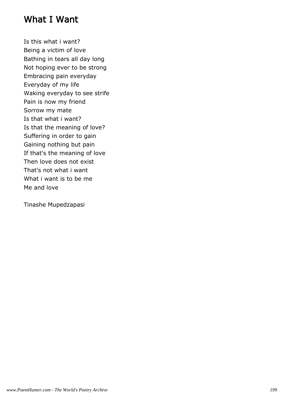#### What I Want

Is this what i want? Being a victim of love Bathing in tears all day long Not hoping ever to be strong Embracing pain everyday Everyday of my life Waking everyday to see strife Pain is now my friend Sorrow my mate Is that what i want? Is that the meaning of love? Suffering in order to gain Gaining nothing but pain If that's the meaning of love Then love does not exist That's not what i want What i want is to be me Me and love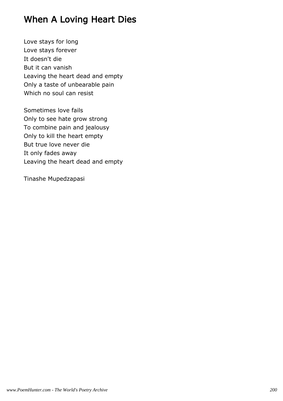## When A Loving Heart Dies

Love stays for long Love stays forever It doesn't die But it can vanish Leaving the heart dead and empty Only a taste of unbearable pain Which no soul can resist

Sometimes love fails Only to see hate grow strong To combine pain and jealousy Only to kill the heart empty But true love never die It only fades away Leaving the heart dead and empty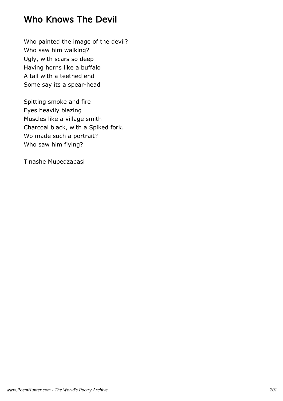## Who Knows The Devil

Who painted the image of the devil? Who saw him walking? Ugly, with scars so deep Having horns like a buffalo A tail with a teethed end Some say its a spear-head

Spitting smoke and fire Eyes heavily blazing Muscles like a village smith Charcoal black, with a Spiked fork. Wo made such a portrait? Who saw him flying?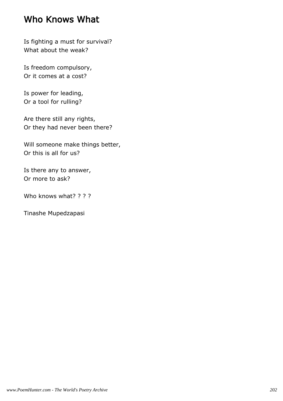#### Who Knows What

Is fighting a must for survival? What about the weak?

Is freedom compulsory, Or it comes at a cost?

Is power for leading, Or a tool for rulling?

Are there still any rights, Or they had never been there?

Will someone make things better, Or this is all for us?

Is there any to answer, Or more to ask?

Who knows what? ? ? ?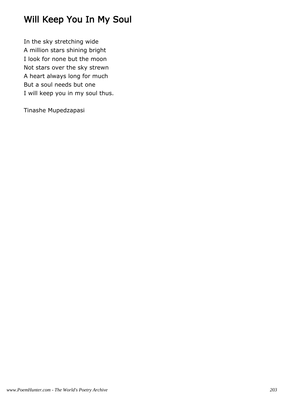# Will Keep You In My Soul

In the sky stretching wide A million stars shining bright I look for none but the moon Not stars over the sky strewn A heart always long for much But a soul needs but one I will keep you in my soul thus.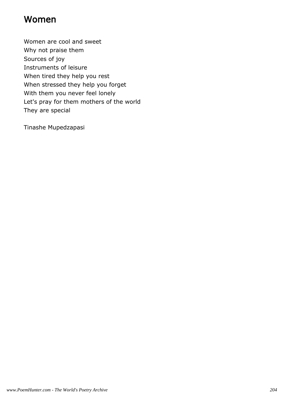#### Women

Women are cool and sweet Why not praise them Sources of joy Instruments of leisure When tired they help you rest When stressed they help you forget With them you never feel lonely Let's pray for them mothers of the world They are special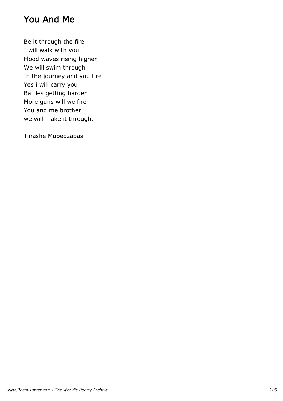#### You And Me

Be it through the fire I will walk with you Flood waves rising higher We will swim through In the journey and you tire Yes i will carry you Battles getting harder More guns will we fire You and me brother we will make it through.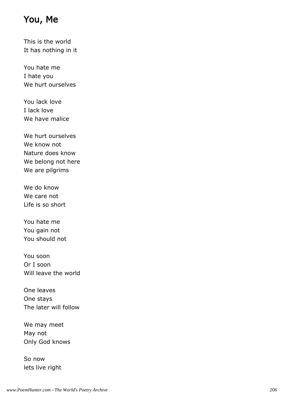### You, Me

This is the world It has nothing in it

You hate me I hate you We hurt ourselves

You lack love I lack love We have malice

We hurt ourselves We know not Nature does know We belong not here We are pilgrims

We do know We care not Life is so short

You hate me You gain not You should not

You soon Or I soon Will leave the world

One leaves One stays The later will follow

We may meet May not Only God knows

So now lets live right